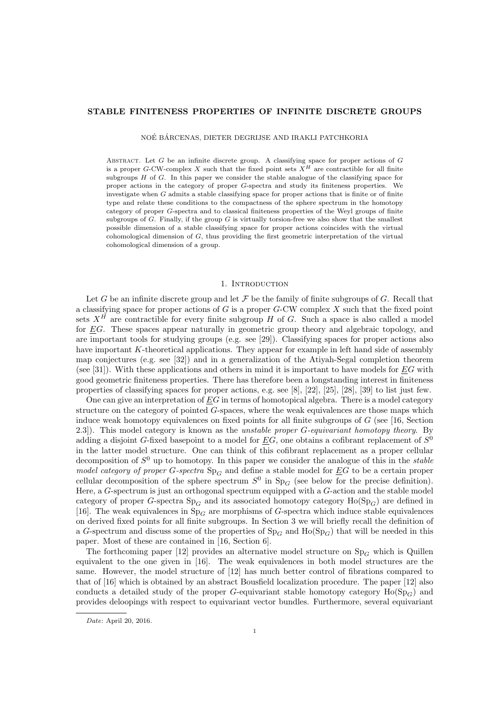# STABLE FINITENESS PROPERTIES OF INFINITE DISCRETE GROUPS

NOÉ BÁRCENAS, DIETER DEGRIJSE AND IRAKLI PATCHKORIA

ABSTRACT. Let  $G$  be an infinite discrete group. A classifying space for proper actions of  $G$ is a proper G-CW-complex X such that the fixed point sets  $X^H$  are contractible for all finite subgroups H of G. In this paper we consider the stable analogue of the classifying space for proper actions in the category of proper G-spectra and study its finiteness properties. We investigate when G admits a stable classifying space for proper actions that is finite or of finite type and relate these conditions to the compactness of the sphere spectrum in the homotopy category of proper G-spectra and to classical finiteness properties of the Weyl groups of finite subgroups of  $G$ . Finally, if the group  $G$  is virtually torsion-free we also show that the smallest possible dimension of a stable classifying space for proper actions coincides with the virtual cohomological dimension of G, thus providing the first geometric interpretation of the virtual cohomological dimension of a group.

## 1. INTRODUCTION

Let G be an infinite discrete group and let  $\mathcal F$  be the family of finite subgroups of G. Recall that a classifying space for proper actions of  $G$  is a proper  $G$ -CW complex  $X$  such that the fixed point sets  $X^H$  are contractible for every finite subgroup H of G. Such a space is also called a model for EG. These spaces appear naturally in geometric group theory and algebraic topology, and are important tools for studying groups (e.g. see [29]). Classifying spaces for proper actions also have important K-theoretical applications. They appear for example in left hand side of assembly map conjectures (e.g. see [32]) and in a generalization of the Atiyah-Segal completion theorem (see [31]). With these applications and others in mind it is important to have models for  $EG$  with good geometric finiteness properties. There has therefore been a longstanding interest in finiteness properties of classifying spaces for proper actions, e.g. see [8], [22], [25], [28], [39] to list just few.

One can give an interpretation of EG in terms of homotopical algebra. There is a model category structure on the category of pointed G-spaces, where the weak equivalences are those maps which induce weak homotopy equivalences on fixed points for all finite subgroups of G (see [16, Section 2.3]). This model category is known as the unstable proper G-equivariant homotopy theory. By adding a disjoint G-fixed basepoint to a model for  $\underline{E}G$ , one obtains a cofibrant replacement of  $S^0$ in the latter model structure. One can think of this cofibrant replacement as a proper cellular decomposition of  $S^0$  up to homotopy. In this paper we consider the analogue of this in the stable model category of proper G-spectra  $Sp<sub>G</sub>$  and define a stable model for EG to be a certain proper cellular decomposition of the sphere spectrum  $S^0$  in  $Sp_G$  (see below for the precise definition). Here, a G-spectrum is just an orthogonal spectrum equipped with a G-action and the stable model category of proper G-spectra  $Sp<sub>G</sub>$  and its associated homotopy category  $Ho(Sp<sub>G</sub>)$  are defined in [16]. The weak equivalences in  $Sp<sub>G</sub>$  are morphisms of G-spectra which induce stable equivalences on derived fixed points for all finite subgroups. In Section 3 we will briefly recall the definition of a G-spectrum and discuss some of the properties of  $Sp_G$  and  $Ho(Sp_G)$  that will be needed in this paper. Most of these are contained in [16, Section 6].

The forthcoming paper [12] provides an alternative model structure on  $Sp<sub>G</sub>$  which is Quillen equivalent to the one given in [16]. The weak equivalences in both model structures are the same. However, the model structure of [12] has much better control of fibrations compared to that of [16] which is obtained by an abstract Bousfield localization procedure. The paper [12] also conducts a detailed study of the proper G-equivariant stable homotopy category  $Ho(Sp<sub>G</sub>)$  and provides deloopings with respect to equivariant vector bundles. Furthermore, several equivariant

Date: April 20, 2016.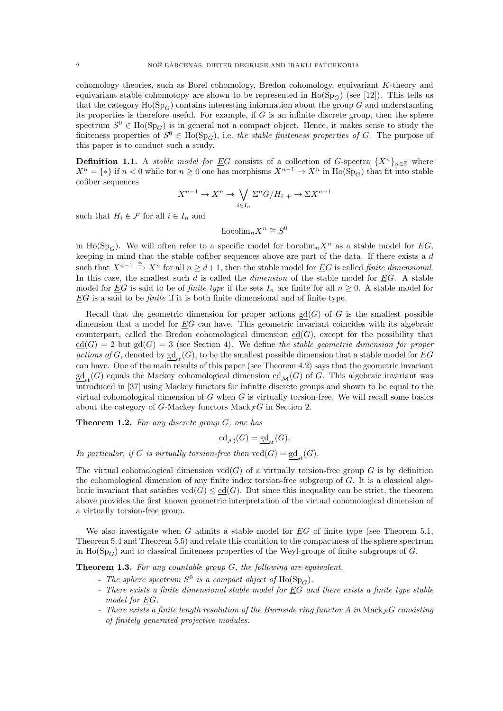cohomology theories, such as Borel cohomology, Bredon cohomology, equivariant K-theory and equivariant stable cohomotopy are shown to be represented in  $Ho(Sp_G)$  (see [12]). This tells us that the category  $\text{Ho}(\text{Sp}_G)$  contains interesting information about the group G and understanding its properties is therefore useful. For example, if  $G$  is an infinite discrete group, then the sphere spectrum  $S^0 \in \text{Ho}(\text{Sp}_G)$  is in general not a compact object. Hence, it makes sense to study the finiteness properties of  $S^0 \in Ho(Sp_G)$ , i.e. the stable finiteness properties of G. The purpose of this paper is to conduct such a study.

**Definition 1.1.** A *stable model for*  $\underline{E}G$  consists of a collection of G-spectra  $\{X^n\}_{n\in\mathbb{Z}}$  where  $X^n = \{*\}$  if  $n < 0$  while for  $n \geq 0$  one has morphisms  $X^{n-1} \to X^n$  in  $\text{Ho}(\text{Sp}_G)$  that fit into stable cofiber sequences

$$
X^{n-1} \to X^n \to \bigvee_{i \in I_n} \Sigma^n G / H_{i+1} \to \Sigma X^{n-1}
$$

such that  $H_i \in \mathcal{F}$  for all  $i \in I_n$  and

$$
\text{hocolim}_nX^n\cong S^0
$$

in Ho(Sp<sub>G</sub>). We will often refer to a specific model for hocolim<sub>n</sub>X<sup>n</sup> as a stable model for EG, keeping in mind that the stable cofiber sequences above are part of the data. If there exists a d such that  $X^{n-1} \stackrel{\cong}{\longrightarrow} X^n$  for all  $n \geq d+1$ , then the stable model for EG is called *finite dimensional*. In this case, the smallest such  $d$  is called the *dimension* of the stable model for  $\underline{E}G$ . A stable model for <u>EG</u> is said to be of *finite type* if the sets  $I_n$  are finite for all  $n \geq 0$ . A stable model for  $EG$  is a said to be *finite* if it is both finite dimensional and of finite type.

Recall that the geometric dimension for proper actions  $gd(G)$  of G is the smallest possible dimension that a model for EG can have. This geometric invariant coincides with its algebraic counterpart, called the Bredon cohomological dimension  $cd(G)$ , except for the possibility that  $cd(G) = 2$  but  $gd(G) = 3$  (see Section 4). We define the stable geometric dimension for proper actions of G, denoted by  $\underline{sd}_{st}(G)$ , to be the smallest possible dimension that a stable model for  $\underline{EG}$ can have. One of the main results of this paper (see Theorem 4.2) says that the geometric invariant  $\underline{\mathrm{gd}}_{\mathrm{st}}(G)$  equals the Mackey cohomological dimension  $\underline{\mathrm{cd}}_{\mathcal{M}}(G)$  of G. This algebraic invariant was introduced in [37] using Mackey functors for infinite discrete groups and shown to be equal to the virtual cohomological dimension of  $G$  when  $G$  is virtually torsion-free. We will recall some basics about the category of G-Mackey functors  $\text{Mack}_{\mathcal{F}}G$  in Section 2.

**Theorem 1.2.** For any discrete group  $G$ , one has

$$
\underline{\mathrm{cd}}_{\mathcal{M}}(G) = \underline{\mathrm{gd}}_{\mathrm{st}}(G).
$$

In particular, if G is virtually torsion-free then  $\text{vcd}(G) = \underline{\text{gd}}_{\text{st}}(G)$ .

The virtual cohomological dimension  $\text{vcd}(G)$  of a virtually torsion-free group G is by definition the cohomological dimension of any finite index torsion-free subgroup of G. It is a classical algebraic invariant that satisfies  $\text{vcd}(G) \leq \text{cd}(G)$ . But since this inequality can be strict, the theorem above provides the first known geometric interpretation of the virtual cohomological dimension of a virtually torsion-free group.

We also investigate when  $G$  admits a stable model for  $EG$  of finite type (see Theorem 5.1, Theorem 5.4 and Theorem 5.5) and relate this condition to the compactness of the sphere spectrum in Ho( $Sp<sub>G</sub>$ ) and to classical finiteness properties of the Weyl-groups of finite subgroups of G.

Theorem 1.3. For any countable group G, the following are equivalent.

- The sphere spectrum  $S^0$  is a compact object of  $\text{Ho}(\text{Sp}_G)$ .
- There exists a finite dimensional stable model for EG and there exists a finite type stable model for EG.
- There exists a finite length resolution of the Burnside ring functor  $\underline{A}$  in  $\mathrm{Mack}_\mathcal{F} G$  consisting of finitely generated projective modules.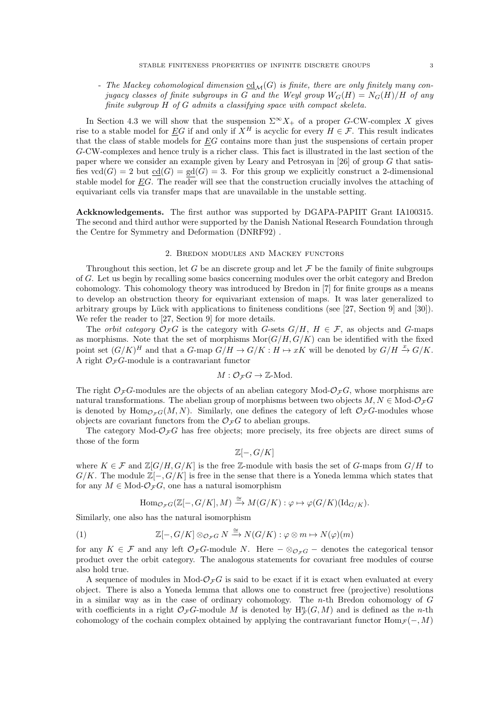- The Mackey cohomological dimension  $\underline{cd}_{\mathcal{M}}(G)$  is finite, there are only finitely many conjugacy classes of finite subgroups in G and the Weyl group  $W_G(H) = N_G(H)/H$  of any finite subgroup H of G admits a classifying space with compact skeleta.

In Section 4.3 we will show that the suspension  $\Sigma^{\infty} X_+$  of a proper G-CW-complex X gives rise to a stable model for EG if and only if  $X^H$  is acyclic for every  $H \in \mathcal{F}$ . This result indicates that the class of stable models for  $EG$  contains more than just the suspensions of certain proper G-CW-complexes and hence truly is a richer class. This fact is illustrated in the last section of the paper where we consider an example given by Leary and Petrosyan in [26] of group G that satisfies  $\text{vcd}(G) = 2$  but  $\text{cd}(G) = \text{gd}(G) = 3$ . For this group we explicitly construct a 2-dimensional stable model for  $EG$ . The reader will see that the construction crucially involves the attaching of equivariant cells via transfer maps that are unavailable in the unstable setting.

Ackknowledgements. The first author was supported by DGAPA-PAPIIT Grant IA100315. The second and third author were supported by the Danish National Research Foundation through the Centre for Symmetry and Deformation (DNRF92) .

### 2. Bredon modules and Mackey functors

Throughout this section, let G be an discrete group and let  $\mathcal F$  be the family of finite subgroups of G. Let us begin by recalling some basics concerning modules over the orbit category and Bredon cohomology. This cohomology theory was introduced by Bredon in [7] for finite groups as a means to develop an obstruction theory for equivariant extension of maps. It was later generalized to arbitrary groups by Lück with applications to finiteness conditions (see [27, Section 9] and [30]). We refer the reader to [27, Section 9] for more details.

The *orbit category*  $\mathcal{O}_{\mathcal{F}}G$  is the category with G-sets  $G/H$ ,  $H \in \mathcal{F}$ , as objects and G-maps as morphisms. Note that the set of morphisms  $\text{Mor}(G/H, G/K)$  can be identified with the fixed point set  $(G/K)^H$  and that a G-map  $G/H \to G/K$  :  $H \to xK$  will be denoted by  $G/H \to G/K$ . A right  $\mathcal{O}_{\mathcal{F}}G$ -module is a contravariant functor

$$
M:\mathcal{O}_{\mathcal{F}}G\to\mathbb{Z}\text{-Mod}.
$$

The right  $\mathcal{O}_{\mathcal{F}}G$ -modules are the objects of an abelian category Mod- $\mathcal{O}_{\mathcal{F}}G$ , whose morphisms are natural transformations. The abelian group of morphisms between two objects  $M, N \in Mod\mathcal{O}_{\mathcal{F}}G$ is denoted by  $\text{Hom}_{\mathcal{O}_{\mathcal{F}}G}(M, N)$ . Similarly, one defines the category of left  $\mathcal{O}_{\mathcal{F}}G$ -modules whose objects are covariant functors from the  $\mathcal{O}_{\mathcal{F}}G$  to abelian groups.

The category Mod- $\mathcal{O}_\mathcal{F}G$  has free objects; more precisely, its free objects are direct sums of those of the form

$$
\mathbb{Z}[-,G/K]
$$

where  $K \in \mathcal{F}$  and  $\mathbb{Z}[G/H, G/K]$  is the free Z-module with basis the set of G-maps from  $G/H$  to  $G/K$ . The module  $\mathbb{Z}[-, G/K]$  is free in the sense that there is a Yoneda lemma which states that for any  $M \in Mod\text{-}\mathcal{O}_{\mathcal{F}}G$ , one has a natural isomorphism

$$
\text{Hom}_{\mathcal{O}_{\mathcal{F}G}}(\mathbb{Z}[-,G/K],M)\xrightarrow{\cong} M(G/K):\varphi\mapsto\varphi(G/K)(\text{Id}_{G/K}).
$$

Similarly, one also has the natural isomorphism

(1) 
$$
\mathbb{Z}[-,G/K] \otimes_{\mathcal{O}_{\mathcal{F}G}} N \xrightarrow{\cong} N(G/K) : \varphi \otimes m \mapsto N(\varphi)(m)
$$

for any  $K \in \mathcal{F}$  and any left  $\mathcal{O}_{\mathcal{F}}G$ -module N. Here  $-\otimes_{\mathcal{O}_{\mathcal{F}}G}$  – denotes the categorical tensor product over the orbit category. The analogous statements for covariant free modules of course also hold true.

A sequence of modules in Mod- $\mathcal{O}_{\mathcal{F}}G$  is said to be exact if it is exact when evaluated at every object. There is also a Yoneda lemma that allows one to construct free (projective) resolutions in a similar way as in the case of ordinary cohomology. The  $n$ -th Bredon cohomology of  $G$ with coefficients in a right  $\mathcal{O}_{\mathcal{F}}G$ -module M is denoted by  $H_{\mathcal{F}}^n(G,M)$  and is defined as the n-th cohomology of the cochain complex obtained by applying the contravariant functor Hom  $\mathcal{F}(-, M)$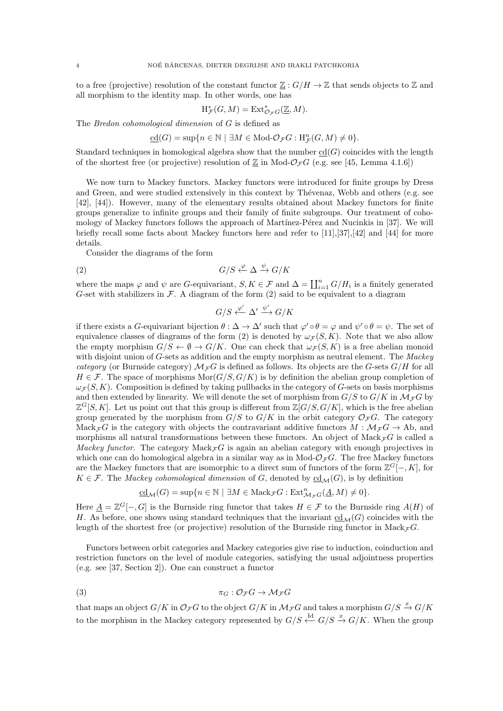to a free (projective) resolution of the constant functor  $\mathbb{Z}: G/H \to \mathbb{Z}$  that sends objects to  $\mathbb{Z}$  and all morphism to the identity map. In other words, one has

$$
\mathrm{H}^*_{\mathcal{F}}(G, M) = \mathrm{Ext}^*_{\mathcal{O}_{\mathcal{F}}G}(\underline{\mathbb{Z}}, M).
$$

The Bredon cohomological dimension of G is defined as

$$
\underline{\mathrm{cd}}(G)=\sup\{n\in\mathbb{N}\ |\ \exists M\in\mathrm{Mod}\textrm{-}\mathcal{O}_{\mathcal{F}}G:\mathrm{H}^n_{\mathcal{F}}(G,M)\neq 0\}.
$$

Standard techniques in homological algebra show that the number  $cd(G)$  coincides with the length of the shortest free (or projective) resolution of  $\mathbb{Z}$  in Mod- $\mathcal{O}_{\mathcal{F}}G$  (e.g. see [45, Lemma 4.1.6])

We now turn to Mackey functors. Mackey functors were introduced for finite groups by Dress and Green, and were studied extensively in this context by Thévenaz, Webb and others (e.g. see [42], [44]). However, many of the elementary results obtained about Mackey functors for finite groups generalize to infinite groups and their family of finite subgroups. Our treatment of cohomology of Mackey functors follows the approach of Martínez-Pérez and Nucinkis in [37]. We will briefly recall some facts about Mackey functors here and refer to [11],[37],[42] and [44] for more details.

Consider the diagrams of the form

$$
(2) \tG/S \xleftarrow{\varphi} \Delta \xrightarrow{\psi} G/K
$$

where the maps  $\varphi$  and  $\psi$  are G-equivariant,  $S, K \in \mathcal{F}$  and  $\Delta = \coprod_{i=1}^{n} G/H_i$  is a finitely generated G-set with stabilizers in  $\mathcal F$ . A diagram of the form (2) said to be equivalent to a diagram

$$
G/S \xleftarrow{\varphi'} \Delta' \xrightarrow{\psi'} G/K
$$

if there exists a G-equivariant bijection  $\theta : \Delta \to \Delta'$  such that  $\varphi' \circ \theta = \varphi$  and  $\psi' \circ \theta = \psi$ . The set of equivalence classes of diagrams of the form (2) is denoted by  $\omega_{\mathcal{F}}(S, K)$ . Note that we also allow the empty morphism  $G/S \leftarrow \emptyset \rightarrow G/K$ . One can check that  $\omega_{\mathcal{F}}(S, K)$  is a free abelian monoid with disjoint union of G-sets as addition and the empty morphism as neutral element. The Mackey category (or Burnside category)  $\mathcal{M}_{\mathcal{F}}G$  is defined as follows. Its objects are the G-sets  $G/H$  for all  $H \in \mathcal{F}$ . The space of morphisms  $\text{Mor}(G/S, G/K)$  is by definition the abelian group completion of  $\omega_{\mathcal{F}}(S,K)$ . Composition is defined by taking pullbacks in the category of G-sets on basis morphisms and then extended by linearity. We will denote the set of morphism from  $G/S$  to  $G/K$  in  $\mathcal{M}_{\mathcal{F}}G$  by  $\mathbb{Z}^G[S,K]$ . Let us point out that this group is different from  $\mathbb{Z}[G/S, G/K]$ , which is the free abelian group generated by the morphism from  $G/S$  to  $G/K$  in the orbit category  $\mathcal{O}_{\mathcal{F}}G$ . The category Mack<sub>F</sub>G is the category with objects the contravariant additive functors  $M : \mathcal{M}_F G \to Ab$ , and morphisms all natural transformations between these functors. An object of Mack $\mathcal{F}G$  is called a Mackey functor. The category  $\text{Mack}_{\mathcal{F}}G$  is again an abelian category with enough projectives in which one can do homological algebra in a similar way as in Mod- $\mathcal{O}_{\mathcal{F}}G$ . The free Mackey functors are the Mackey functors that are isomorphic to a direct sum of functors of the form  $\mathbb{Z}^G[-,K]$ , for  $K \in \mathcal{F}$ . The *Mackey cohomological dimension* of G, denoted by  $\underline{cd}_{\mathcal{M}}(G)$ , is by definition

$$
\underline{\mathrm{cd}}_{\mathcal{M}}(G)=\sup\{n\in\mathbb{N}\ |\ \exists M\in\mathrm{Mack}_{\mathcal{F}}G:\mathrm{Ext}^{n}_{\mathcal{M}_{\mathcal{F}}G}(\underline{A},M)\neq 0\}.
$$

Here  $\underline{A} = \mathbb{Z}^G[-,G]$  is the Burnside ring functor that takes  $H \in \mathcal{F}$  to the Burnside ring  $A(H)$  of H. As before, one shows using standard techniques that the invariant  $\text{cd}_{\mathcal{M}}(G)$  coincides with the length of the shortest free (or projective) resolution of the Burnside ring functor in Mack  $_F G$ .

Functors between orbit categories and Mackey categories give rise to induction, coinduction and restriction functors on the level of module categories, satisfying the usual adjointness properties (e.g. see [37, Section 2]). One can construct a functor

$$
\pi_G : \mathcal{O}_{\mathcal{F}}G \to \mathcal{M}_{\mathcal{F}}G
$$

that maps an object  $G/K$  in  $\mathcal{O}_{\mathcal{F}}G$  to the object  $G/K$  in  $\mathcal{M}_{\mathcal{F}}G$  and takes a morphism  $G/S \stackrel{x}{\rightarrow} G/K$ to the morphism in the Mackey category represented by  $G/S \stackrel{\text{Id}}{\leftarrow} G/S \stackrel{x}{\rightarrow} G/K$ . When the group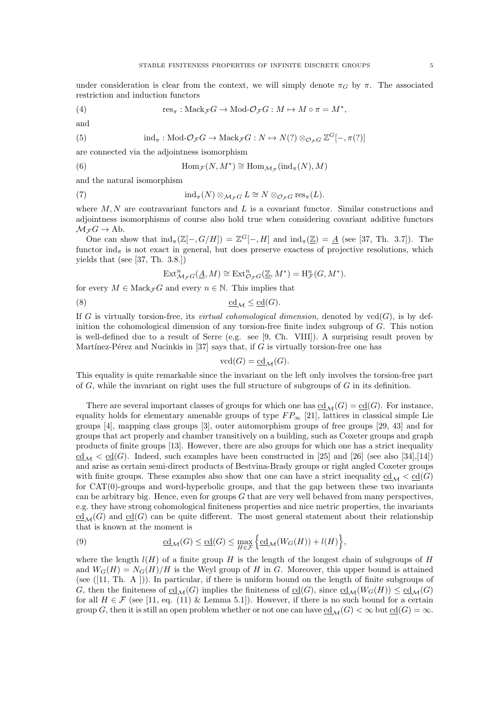under consideration is clear from the context, we will simply denote  $\pi_G$  by  $\pi$ . The associated restriction and induction functors

(4) 
$$
\text{res}_{\pi}: \text{Mack}_{\mathcal{F}}G \to \text{Mod-}\mathcal{O}_{\mathcal{F}}G: M \mapsto M \circ \pi = M^*,
$$

and

(5) 
$$
\text{ind}_{\pi}: \text{Mod-}\mathcal{O}_{\mathcal{F}}G \to \text{Mack}_{\mathcal{F}}G : N \mapsto N(?) \otimes_{\mathcal{O}_{\mathcal{F}}G} \mathbb{Z}^G[-,\pi(?)]
$$

are connected via the adjointness isomorphism

(6) 
$$
\text{Hom}_{\mathcal{F}}(N, M^*) \cong \text{Hom}_{\mathcal{M}_{\mathcal{F}}}(\text{ind}_{\pi}(N), M)
$$

and the natural isomorphism

(7) 
$$
\operatorname{ind}_{\pi}(N) \otimes_{\mathcal{M}_{\mathcal{F}}G} L \cong N \otimes_{\mathcal{O}_{\mathcal{F}}G} \operatorname{res}_{\pi}(L).
$$

where  $M, N$  are contravariant functors and  $L$  is a covariant functor. Similar constructions and adjointness isomorphisms of course also hold true when considering covariant additive functors  $\mathcal{M}_\mathcal{F} G \to \text{Ab}.$ 

One can show that  $\text{ind}_{\pi}(\mathbb{Z}[-,G/H]) = \mathbb{Z}^{G}[-,H]$  and  $\text{ind}_{\pi}(\mathbb{Z}) = \underline{A}$  (see [37, Th. 3.7]). The functor  $\text{ind}_{\pi}$  is not exact in general, but does preserve exactess of projective resolutions, which yields that (see [37, Th. 3.8.])

$$
\text{Ext}^n_{\mathcal{M}_{\mathcal{F}}G}(\underline{A},M)\cong \text{Ext}^n_{\mathcal{O}_{\mathcal{F}}G}(\underline{\mathbb{Z}},M^*)=\text{H}^n_{\mathcal{F}}(G,M^*).
$$

for every  $M \in \text{Mack}_{\mathcal{F}}G$  and every  $n \in \mathbb{N}$ . This implies that

$$
\underline{\mathrm{cd}}_{\mathcal{M}} \le \underline{\mathrm{cd}}(G).
$$

If G is virtually torsion-free, its *virtual cohomological dimension*, denoted by  $\text{ved}(G)$ , is by definition the cohomological dimension of any torsion-free finite index subgroup of G. This notion is well-defined due to a result of Serre (e.g. see [9, Ch. VIII]). A surprising result proven by Martínez-Pérez and Nucinkis in [37] says that, if  $\tilde{G}$  is virtually torsion-free one has

$$
\text{vcd}(G) = \underline{\text{cd}}_{\mathcal{M}}(G).
$$

This equality is quite remarkable since the invariant on the left only involves the torsion-free part of  $G$ , while the invariant on right uses the full structure of subgroups of  $G$  in its definition.

There are several important classes of groups for which one has  $\underline{cd}_{\mathcal{M}}(G) = \underline{cd}(G)$ . For instance, equality holds for elementary amenable groups of type  $FP_{\infty}$  [21], lattices in classical simple Lie groups  $[4]$ , mapping class groups  $[3]$ , outer automorphism groups of free groups  $[29, 43]$  and for groups that act properly and chamber transitively on a building, such as Coxeter groups and graph products of finite groups [13]. However, there are also groups for which one has a strict inequality  $\text{cd}_{\mathcal{M}} < \text{cd}(G)$ . Indeed, such examples have been constructed in [25] and [26] (see also [34],[14]) and arise as certain semi-direct products of Bestvina-Brady groups or right angled Coxeter groups with finite groups. These examples also show that one can have a strict inequality  $\underline{\text{cd}}_{\mathcal{M}} < \underline{\text{cd}}(G)$ for CAT(0)-groups and word-hyperbolic groups, and that the gap between these two invariants can be arbitrary big. Hence, even for groups  $G$  that are very well behaved from many perspectives, e.g. they have strong cohomological finiteness properties and nice metric properties, the invariants  $\underline{\text{cd}}_{\mathcal{M}}(G)$  and  $\underline{\text{cd}}(G)$  can be quite different. The most general statement about their relationship that is known at the moment is

(9) 
$$
\underline{\mathrm{cd}}_{\mathcal{M}}(G) \leq \underline{\mathrm{cd}}(G) \leq \max_{H \in \mathcal{F}} \Big\{ \underline{\mathrm{cd}}_{\mathcal{M}}(W_G(H)) + l(H) \Big\},
$$

where the length  $l(H)$  of a finite group H is the length of the longest chain of subgroups of H and  $W_G(H) = N_G(H)/H$  is the Weyl group of H in G. Moreover, this upper bound is attained (see ([11, Th. A ])). In particular, if there is uniform bound on the length of finite subgroups of G, then the finiteness of  $\underline{\text{cd}}_{\mathcal{M}}(G)$  implies the finiteness of  $\underline{\text{cd}}(G)$ , since  $\underline{\text{cd}}_{\mathcal{M}}(W_G(H)) \leq \underline{\text{cd}}_{\mathcal{M}}(G)$ for all  $H \in \mathcal{F}$  (see [11, eq. (11) & Lemma 5.1]). However, if there is no such bound for a certain group G, then it is still an open problem whether or not one can have  $\text{cd}_{\mathcal{M}}(G) < \infty$  but  $\text{cd}(G) = \infty$ .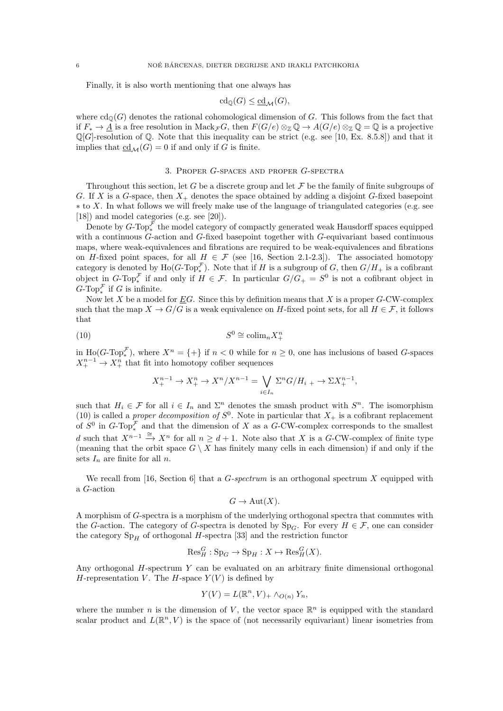Finally, it is also worth mentioning that one always has

$$
cd_{\mathbb{Q}}(G) \leq \underline{cd}_{\mathcal{M}}(G),
$$

where  $\text{cd}_{\mathbb{Q}}(G)$  denotes the rational cohomological dimension of G. This follows from the fact that if  $F_* \to \underline{A}$  is a free resolution in  $\text{Mack}_{\mathcal{F}}G$ , then  $F(G/e) \otimes_{\mathbb{Z}} \mathbb{Q} \to A(G/e) \otimes_{\mathbb{Z}} \mathbb{Q} = \mathbb{Q}$  is a projective  $\mathbb{Q}[G]$ -resolution of  $\mathbb{Q}$ . Note that this inequality can be strict (e.g. see [10, Ex. 8.5.8]) and that it implies that  $\underline{\text{cd}}_{\mathcal{M}}(G) = 0$  if and only if G is finite.

## 3. Proper G-spaces and proper G-spectra

Throughout this section, let G be a discrete group and let  $\mathcal F$  be the family of finite subgroups of G. If X is a G-space, then  $X_+$  denotes the space obtained by adding a disjoint G-fixed basepoint  $*$  to X. In what follows we will freely make use of the language of triangulated categories (e.g. see [18]) and model categories (e.g. see [20]).

Denote by  $G$ -Top $_{*}^{\mathcal{F}}$  the model category of compactly generated weak Hausdorff spaces equipped with a continuous G-action and G-fixed basepoint together with G-equivariant based continuous maps, where weak-equivalences and fibrations are required to be weak-equivalences and fibrations on H-fixed point spaces, for all  $H \in \mathcal{F}$  (see [16, Section 2.1-2.3]). The associated homotopy category is denoted by  $\text{Ho}(G\text{-Top}^{\mathcal{F}}_*)$ . Note that if H is a subgroup of G, then  $G/H_+$  is a cofibrant object in G-Top<sup> $\mathcal F_*$ </sup> if and only if  $H \in \mathcal F$ . In particular  $G/G_+ = S^0$  is not a cofibrant object in  $G$ -Top<sup> $\mathcal F$ </sup> if G is infinite.

Now let X be a model for  $\underline{E}G$ . Since this by definition means that X is a proper G-CW-complex such that the map  $X \to G/G$  is a weak equivalence on H-fixed point sets, for all  $H \in \mathcal{F}$ , it follows that

$$
(10)\t\t S0 \cong \mathrm{colim}_{n} X_{+}^{n}
$$

in  $\text{Ho}(G\text{-}\text{Top}^{\mathcal{F}}_*)$ , where  $X^n = \{+\}\$ if  $n < 0$  while for  $n \geq 0$ , one has inclusions of based G-spaces  $X^{n-1}_+ \to X^n_+$  that fit into homotopy cofiber sequences

$$
X_{+}^{n-1} \to X_{+}^{n} \to X^{n}/X^{n-1} = \bigvee_{i \in I_{n}} \Sigma^{n} G/H_{i} \to \Sigma X_{+}^{n-1},
$$

such that  $H_i \in \mathcal{F}$  for all  $i \in I_n$  and  $\Sigma^n$  denotes the smash product with  $S^n$ . The isomorphism (10) is called a *proper decomposition of*  $S^0$ . Note in particular that  $X_+$  is a cofibrant replacement of  $S^0$  in  $G$ -Top<sub>\*</sub><sup>F</sup> and that the dimension of X as a G-CW-complex corresponds to the smallest d such that  $X^{n-1}$   $\xrightarrow{\cong} X^n$  for all  $n \geq d+1$ . Note also that X is a G-CW-complex of finite type (meaning that the orbit space  $G \setminus X$  has finitely many cells in each dimension) if and only if the sets  $I_n$  are finite for all n.

We recall from [16, Section 6] that a  $G$ -spectrum is an orthogonal spectrum X equipped with a G-action

$$
G \to \mathrm{Aut}(X).
$$

A morphism of G-spectra is a morphism of the underlying orthogonal spectra that commutes with the G-action. The category of G-spectra is denoted by  $Sp_G$ . For every  $H \in \mathcal{F}$ , one can consider the category  $Sp<sub>H</sub>$  of orthogonal H-spectra [33] and the restriction functor

$$
\mathrm{Res}^G_H : \mathrm{Sp}_G \to \mathrm{Sp}_H : X \mapsto \mathrm{Res}^G_H(X).
$$

Any orthogonal H-spectrum Y can be evaluated on an arbitrary finite dimensional orthogonal H-representation V. The H-space  $Y(V)$  is defined by

$$
Y(V) = L(\mathbb{R}^n, V)_{+} \wedge_{O(n)} Y_n,
$$

where the number *n* is the dimension of V, the vector space  $\mathbb{R}^n$  is equipped with the standard scalar product and  $L(\mathbb{R}^n, V)$  is the space of (not necessarily equivariant) linear isometries from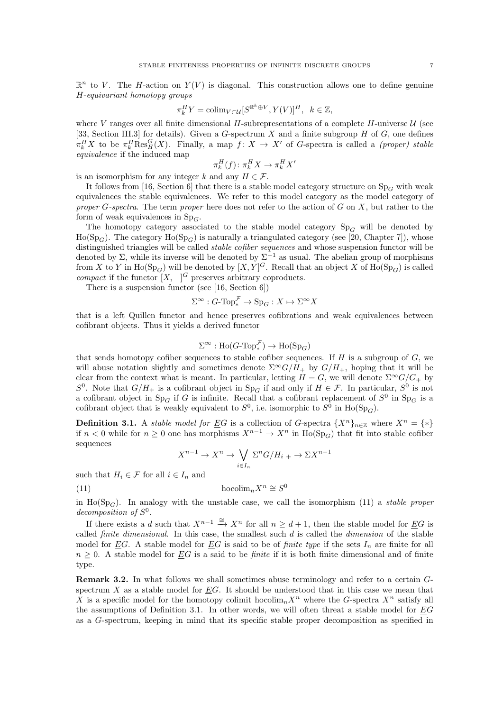$$
\pi_k^H Y = \operatorname{colim}_{V \subset \mathcal{U}} [S^{\mathbb{R}^k \oplus V}, Y(V)]^H, \ \ k \in \mathbb{Z},
$$

where V ranges over all finite dimensional H-subrepresentations of a complete H-universe  $\mathcal U$  (see [33, Section III.3] for details). Given a  $G$ -spectrum  $X$  and a finite subgroup  $H$  of  $G$ , one defines  $\pi_k^H X$  to be  $\pi_k^H \text{Res}_H^G(X)$ . Finally, a map  $f: X \to X'$  of G-spectra is called a *(proper) stable* equivalence if the induced map

$$
\pi_k^H(f) \colon \pi_k^H X \to \pi_k^H X'
$$

is an isomorphism for any integer k and any  $H \in \mathcal{F}$ .

It follows from [16, Section 6] that there is a stable model category structure on  $Sp<sub>G</sub>$  with weak equivalences the stable equivalences. We refer to this model category as the model category of proper G-spectra. The term proper here does not refer to the action of  $G$  on  $X$ , but rather to the form of weak equivalences in  $Sp_G$ .

The homotopy category associated to the stable model category  $Sp_G$  will be denoted by  $Ho(Sp_G)$ . The category  $Ho(Sp_G)$  is naturally a triangulated category (see [20, Chapter 7]), whose distinguished triangles will be called *stable cofiber sequences* and whose suspension functor will be denoted by  $\Sigma$ , while its inverse will be denoted by  $\Sigma^{-1}$  as usual. The abelian group of morphisms from X to Y in  $\text{Ho}(\text{Sp}_G)$  will be denoted by  $[X, Y]^G$ . Recall that an object X of  $\text{Ho}(\text{Sp}_G)$  is called *compact* if the functor  $[X, -]^G$  preserves arbitrary coproducts.

There is a suspension functor (see [16, Section 6])

$$
\Sigma^\infty : G\text{-}\mathrm{Top}^{\mathcal{F}}_* \to \mathrm{Sp}_G : X \mapsto \Sigma^\infty X
$$

that is a left Quillen functor and hence preserves cofibrations and weak equivalences between cofibrant objects. Thus it yields a derived functor

$$
\Sigma^{\infty} : \text{Ho}(G\text{-}\text{Top}^{\mathcal{F}}_*) \to \text{Ho}(\text{Sp}_G)
$$

that sends homotopy cofiber sequences to stable cofiber sequences. If  $H$  is a subgroup of  $G$ , we will abuse notation slightly and sometimes denote  $\Sigma^{\infty}G/H_{+}$  by  $G/H_{+}$ , hoping that it will be clear from the context what is meant. In particular, letting  $H = G$ , we will denote  $\Sigma^{\infty}G/G_{+}$  by  $S^0$ . Note that  $G/H_+$  is a cofibrant object in  $Sp_G$  if and only if  $H \in \mathcal{F}$ . In particular,  $S^0$  is not a cofibrant object in  $Sp_G$  if G is infinite. Recall that a cofibrant replacement of  $S^0$  in  $Sp_G$  is a cofibrant object that is weakly equivalent to  $S^0$ , i.e. isomorphic to  $S^0$  in  $\text{Ho}(\text{Sp}_G)$ .

**Definition 3.1.** A *stable model for*  $\underline{E}G$  is a collection of G-spectra  $\{X^n\}_{n\in\mathbb{Z}}$  where  $X^n = \{*\}$ if  $n < 0$  while for  $n \ge 0$  one has morphisms  $X^{n-1} \to X^n$  in H<sub>0</sub>(Sp<sub>G</sub>) that fit into stable cofiber sequences

$$
X^{n-1} \to X^n \to \bigvee_{i \in I_n} \Sigma^n G/H_{i} \to \Sigma X^{n-1}
$$

such that  $H_i \in \mathcal{F}$  for all  $i \in I_n$  and

(11) hocolim<sub>n</sub> $X^n \cong S^0$ 

in Ho(Sp<sub>G</sub>). In analogy with the unstable case, we call the isomorphism (11) a *stable proper* decomposition of  $S^0$ .

If there exists a d such that  $X^{n-1} \stackrel{\cong}{\to} X^n$  for all  $n \geq d+1$ , then the stable model for EG is called *finite dimensional*. In this case, the smallest such  $d$  is called the *dimension* of the stable model for  $\underline{E}G$ . A stable model for  $\underline{E}G$  is said to be of *finite type* if the sets  $I_n$  are finite for all  $n \geq 0$ . A stable model for EG is a said to be *finite* if it is both finite dimensional and of finite type.

Remark 3.2. In what follows we shall sometimes abuse terminology and refer to a certain Gspectrum  $X$  as a stable model for  $EG$ . It should be understood that in this case we mean that X is a specific model for the homotopy colimit hocolim<sub>n</sub>X<sup>n</sup> where the G-spectra X<sup>n</sup> satisfy all the assumptions of Definition 3.1. In other words, we will often threat a stable model for EG as a G-spectrum, keeping in mind that its specific stable proper decomposition as specified in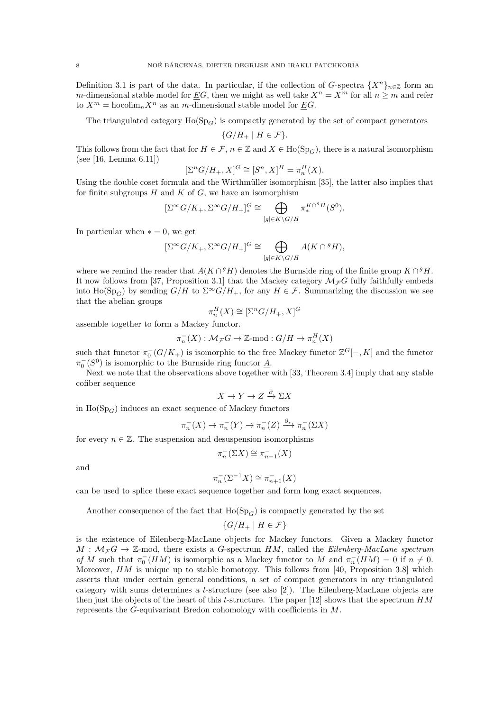Definition 3.1 is part of the data. In particular, if the collection of G-spectra  $\{X^n\}_{n\in\mathbb{Z}}$  form an m-dimensional stable model for  $\underline{E}G$ , then we might as well take  $X^n = X^m$  for all  $n \geq m$  and refer to  $X^m$  = hocolim<sub>n</sub> $X^n$  as an m-dimensional stable model for *EG*.

The triangulated category  $Ho(Sp_G)$  is compactly generated by the set of compact generators

$$
\{G/H_+ \mid H \in \mathcal{F}\}.
$$

This follows from the fact that for  $H \in \mathcal{F}$ ,  $n \in \mathbb{Z}$  and  $X \in Ho(Sp_G)$ , there is a natural isomorphism (see [16, Lemma 6.11])

$$
[\Sigma^n G/H_+, X]^G \cong [S^n, X]^H = \pi_n^H(X).
$$

Using the double coset formula and the Wirthmüller isomorphism [35], the latter also implies that for finite subgroups  $H$  and  $K$  of  $G$ , we have an isomorphism

$$
[\Sigma^{\infty} G/K_+, \Sigma^{\infty} G/H_+]^G_* \cong \bigoplus_{[g] \in K \backslash G/H} \pi_*^{K \cap^g H}(S^0).
$$

In particular when  $* = 0$ , we get

$$
[\Sigma^{\infty} G/K_+, \Sigma^{\infty} G/H_+]^G \cong \bigoplus_{[g] \in K \backslash G/H} A(K \cap {}^g H),
$$

where we remind the reader that  $A(K \cap {}^{g}H)$  denotes the Burnside ring of the finite group  $K \cap {}^{g}H$ . It now follows from [37, Proposition 3.1] that the Mackey category  $\mathcal{M}_{\mathcal{F}}G$  fully faithfully embeds into  $\text{Ho}(\text{Sp}_G)$  by sending  $G/H$  to  $\Sigma^{\infty}G/H_{+}$ , for any  $H \in \mathcal{F}$ . Summarizing the discussion we see that the abelian groups G

$$
\pi_n^H(X) \cong [\Sigma^n G/H_+, X]^0
$$

assemble together to form a Mackey functor.

$$
\pi_n^-(X) : \mathcal{M}_\mathcal{F} G \to \mathbb{Z}\text{-mod} : G/H \mapsto \pi_n^H(X)
$$

such that functor  $\pi_0^-(G/K_+)$  is isomorphic to the free Mackey functor  $\mathbb{Z}^G[-,K]$  and the functor  $\pi_0^-(S^0)$  is isomorphic to the Burnside ring functor  $\underline{A}$ .

Next we note that the observations above together with [33, Theorem 3.4] imply that any stable cofiber sequence

$$
X \to Y \to Z \xrightarrow{\partial} \Sigma X
$$

in  $Ho(\mathrm{Sp}_G)$  induces an exact sequence of Mackey functors

$$
\pi_n^-(X) \to \pi_n^-(Y) \to \pi_n^-(Z) \xrightarrow{\partial_*} \pi_n^-(\Sigma X)
$$

for every  $n \in \mathbb{Z}$ . The suspension and desuspension isomorphisms

$$
\pi^-_n(\Sigma X)\cong\pi^-_{n-1}(X)
$$

and

$$
\pi_n^-(\Sigma^{-1}X) \cong \pi_{n+1}^-(X)
$$

can be used to splice these exact sequence together and form long exact sequences.

Another consequence of the fact that  $Ho(Sp_G)$  is compactly generated by the set

$$
\{G/H_+ \mid H \in \mathcal{F}\}
$$

is the existence of Eilenberg-MacLane objects for Mackey functors. Given a Mackey functor  $M : \mathcal{M}_{\mathcal{F}}G \to \mathbb{Z}$ -mod, there exists a G-spectrum HM, called the Eilenberg-MacLane spectrum of M such that  $\pi_0^- (HM)$  is isomorphic as a Mackey functor to M and  $\pi_n^- (HM) = 0$  if  $n \neq 0$ . Moreover,  $HM$  is unique up to stable homotopy. This follows from [40, Proposition 3.8] which asserts that under certain general conditions, a set of compact generators in any triangulated category with sums determines a t-structure (see also [2]). The Eilenberg-MacLane objects are then just the objects of the heart of this t-structure. The paper [12] shows that the spectrum  $HM$ represents the G-equivariant Bredon cohomology with coefficients in M.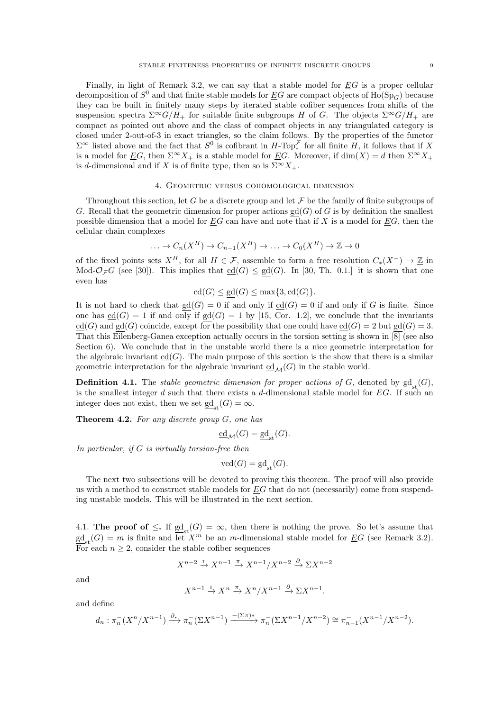Finally, in light of Remark 3.2, we can say that a stable model for  $EG$  is a proper cellular decomposition of  $S^0$  and that finite stable models for  $\underline{E}G$  are compact objects of  $\text{Ho}(\text{Sp}_G)$  because they can be built in finitely many steps by iterated stable cofiber sequences from shifts of the suspension spectra  $\Sigma^{\infty}G/H_+$  for suitable finite subgroups H of G. The objects  $\Sigma^{\infty}G/H_+$  are compact as pointed out above and the class of compact objects in any triangulated category is closed under 2-out-of-3 in exact triangles, so the claim follows. By the properties of the functor  $\Sigma^{\infty}$  listed above and the fact that  $S^0$  is cofibrant in  $H$ -Top<sup> $\mathcal F$ </sup> for all finite  $H$ , it follows that if X is a model for EG, then  $\Sigma^{\infty}X_{+}$  is a stable model for EG. Moreover, if  $\dim(X) = d$  then  $\Sigma^{\infty}X_{+}$ is d-dimensional and if X is of finite type, then so is  $\Sigma^{\infty} X_+$ .

### 4. Geometric versus cohomological dimension

Throughout this section, let G be a discrete group and let  $\mathcal F$  be the family of finite subgroups of G. Recall that the geometric dimension for proper actions  $gd(G)$  of G is by definition the smallest possible dimension that a model for  $EG$  can have and note that if X is a model for  $EG$ , then the cellular chain complexes

$$
\ldots \to C_n(X^H) \to C_{n-1}(X^H) \to \ldots \to C_0(X^H) \to \mathbb{Z} \to 0
$$

of the fixed points sets  $X^H$ , for all  $H \in \mathcal{F}$ , assemble to form a free resolution  $C_*(X^-) \to \mathbb{Z}$  in Mod- $\mathcal{O}_{\mathcal{F}}G$  (see [30]). This implies that  $\text{cd}(G) \leq \text{gd}(G)$ . In [30, Th. 0.1.] it is shown that one even has

$$
\underline{\mathrm{cd}}(G) \le \mathrm{gd}(G) \le \max\{3, \underline{\mathrm{cd}}(G)\}.
$$

It is not hard to check that  $gd(G) = 0$  if and only if  $cd(G) = 0$  if and only if G is finite. Since one has  $\underline{\mathrm{cd}}(G) = 1$  if and only if  $\underline{\mathrm{gd}}(G) = 1$  by [15, Cor. 1.2], we conclude that the invariants  $cd(G)$  and gd(G) coincide, except for the possibility that one could have  $cd(G) = 2$  but gd(G) = 3. That this Eilenberg-Ganea exception actually occurs in the torsion setting is shown in [8] (see also Section 6). We conclude that in the unstable world there is a nice geometric interpretation for the algebraic invariant  $\underline{cd}(G)$ . The main purpose of this section is the show that there is a similar geometric interpretation for the algebraic invariant  $\underline{cd}_{\mathcal{M}}(G)$  in the stable world.

**Definition 4.1.** The *stable geometric dimension for proper actions of G*, denoted by  $\underline{gd}_{st}(G)$ , is the smallest integer  $d$  such that there exists a  $d$ -dimensional stable model for  $EG$ . If such an integer does not exist, then we set  $\underline{\mathrm{gd}}_{\mathrm{st}}(G) = \infty$ .

**Theorem 4.2.** For any discrete group  $G$ , one has

$$
\underline{\mathrm{cd}}_{\mathcal{M}}(G) = \underline{\mathrm{gd}}_{\mathrm{st}}(G).
$$

In particular, if  $G$  is virtually torsion-free then

$$
\text{vcd}(G) = \underline{\text{gd}}_{\text{st}}(G).
$$

The next two subsections will be devoted to proving this theorem. The proof will also provide us with a method to construct stable models for  $EG$  that do not (necessarily) come from suspending unstable models. This will be illustrated in the next section.

4.1. The proof of  $\leq$ . If  $\underline{sd}_{st}(G) = \infty$ , then there is nothing the prove. So let's assume that  $\underline{\text{gd}}_{\text{st}}(G) = m$  is finite and let  $X^m$  be an m-dimensional stable model for EG (see Remark 3.2). For each  $n \geq 2$ , consider the stable cofiber sequences

$$
X^{n-2} \xrightarrow{i} X^{n-1} \xrightarrow{\pi} X^{n-1}/X^{n-2} \xrightarrow{\partial} \Sigma X^{n-2}
$$

and

$$
X^{n-1} \xrightarrow{i} X^n \xrightarrow{\pi} X^n / X^{n-1} \xrightarrow{\partial} \Sigma X^{n-1}
$$

.

and define

$$
d_n : \pi_n^{-}(X^n/X^{n-1}) \xrightarrow{\partial_*} \pi_n^{-}(\Sigma X^{n-1}) \xrightarrow{-(\Sigma \pi)^*} \pi_n^{-}(\Sigma X^{n-1}/X^{n-2}) \cong \pi_{n-1}^{-}(X^{n-1}/X^{n-2}).
$$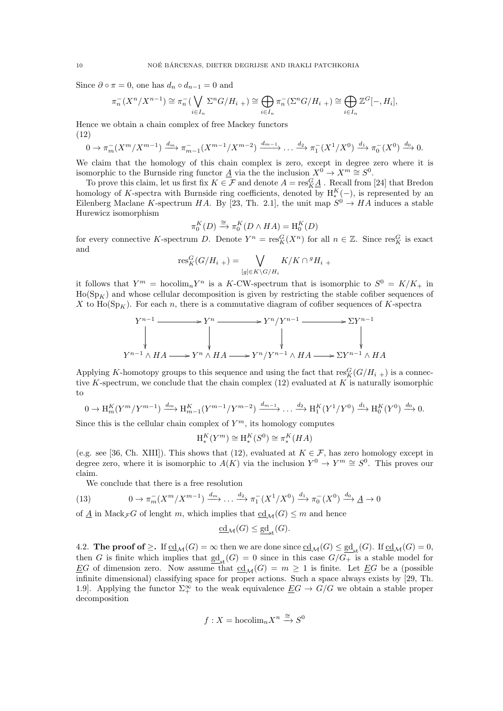Since  $\partial \circ \pi = 0$ , one has  $d_n \circ d_{n-1} = 0$  and

$$
\pi_n^-(X^n/X^{n-1}) \cong \pi_n^-(\bigvee_{i \in I_n} \Sigma^n G/H_{i+1}) \cong \bigoplus_{i \in I_n} \pi_n^-(\Sigma^n G/H_{i+1}) \cong \bigoplus_{i \in I_n} \mathbb{Z}^G[-,H_i],
$$

Hence we obtain a chain complex of free Mackey functors (12)

$$
0 \to \pi_m^-(X^m/X^{m-1}) \xrightarrow{d_m} \pi_{m-1}^-(X^{m-1}/X^{m-2}) \xrightarrow{d_{m-1}} \dots \xrightarrow{d_2} \pi_1^-(X^1/X^0) \xrightarrow{d_1} \pi_0^-(X^0) \xrightarrow{d_0} 0.
$$

We claim that the homology of this chain complex is zero, except in degree zero where it is isomorphic to the Burnside ring functor  $\underline{A}$  via the the inclusion  $X^0 \to X^m \cong S^0$ .

To prove this claim, let us first fix  $K \in \mathcal{F}$  and denote  $A = \text{res}_{K}^{G} \underline{A}$ . Recall from [24] that Bredon homology of K-spectra with Burnside ring coefficients, denoted by  $H_*^K(-)$ , is represented by an Eilenberg Maclane K-spectrum HA. By [23, Th. 2.1], the unit map  $S^0 \to HA$  induces a stable Hurewicz isomorphism

$$
\pi_0^K(D) \xrightarrow{\cong} \pi_0^K(D \wedge HA) = {\rm H}_0^K(D)
$$

for every connective K-spectrum D. Denote  $Y^n = \text{res}^G_K(X^n)$  for all  $n \in \mathbb{Z}$ . Since  $\text{res}^G_K$  is exact and

$$
\operatorname{res}^G_K(G/H_{i+}) = \bigvee_{[g] \in K \backslash G/H_i} K/K \cap {}^gH_i +
$$

it follows that  $Y^m = \text{hocolim}_n Y^n$  is a K-CW-spectrum that is isomorphic to  $S^0 = K/K_+$  in  $Ho(Sp<sub>K</sub>)$  and whose cellular decomposition is given by restricting the stable cofiber sequences of X to  $\text{Ho}(\text{Sp}_K)$ . For each n, there is a commutative diagram of cofiber sequences of K-spectra

$$
Y^{n-1} \longrightarrow Y^n \longrightarrow Y^n / Y^{n-1} \longrightarrow \Sigma Y^{n-1}
$$
  
\n
$$
\downarrow \qquad \qquad \downarrow \qquad \qquad \downarrow
$$
  
\n
$$
Y^{n-1} \wedge HA \longrightarrow Y^n \wedge HA \longrightarrow Y^n / Y^{n-1} \wedge HA \longrightarrow \Sigma Y^{n-1} \wedge HA
$$

Applying K-homotopy groups to this sequence and using the fact that  $\text{res}_{K}^{G}(G/H_{i+1})$  is a connective K-spectrum, we conclude that the chain complex  $(12)$  evaluated at K is naturally isomorphic to

$$
0 \to \mathrm{H}^K_m(Y^m/Y^{m-1}) \xrightarrow{d_m} \mathrm{H}^K_{m-1}(Y^{m-1}/Y^{m-2}) \xrightarrow{d_{m-1}} \dots \xrightarrow{d_2} \mathrm{H}^K_1(Y^1/Y^0) \xrightarrow{d_1} \mathrm{H}^K_0(Y^0) \xrightarrow{d_0} 0.
$$

Since this is the cellular chain complex of  $Y^m$ , its homology computes

$$
\operatorname{H}_*^K(Y^m) \cong \operatorname{H}_*^K(S^0) \cong \pi_*^K(HA)
$$

(e.g. see [36, Ch. XIII]). This shows that (12), evaluated at  $K \in \mathcal{F}$ , has zero homology except in degree zero, where it is isomorphic to  $A(K)$  via the inclusion  $Y^0 \to Y^m \cong S^0$ . This proves our claim.

We conclude that there is a free resolution

(13) 
$$
0 \to \pi_m^-(X^m/X^{m-1}) \xrightarrow{d_m} \dots \xrightarrow{d_2} \pi_1^-(X^1/X^0) \xrightarrow{d_1} \pi_0^-(X^0) \xrightarrow{d_0} \underline{A} \to 0
$$

of  $\underline{A}$  in Mack<sub>F</sub> G of lenght m, which implies that  $\underline{c}d_{\mathcal{M}}(G) \leq m$  and hence

$$
\underline{\mathrm{cd}}_{\mathcal{M}}(G) \le \underline{\mathrm{gd}}_{\mathrm{st}}(G).
$$

4.2. **The proof of**  $\geq$ . If  $\underline{\text{cd}}_{\mathcal{M}}(G) = \infty$  then we are done since  $\underline{\text{cd}}_{\mathcal{M}}(G) \leq \underline{\text{gd}}_{\text{st}}(G)$ . If  $\underline{\text{cd}}_{\mathcal{M}}(G) = 0$ , then G is finite which implies that  $\underline{sd}_{st}(G) = 0$  since in this case  $G/G_+$  is a stable model for EG of dimension zero. Now assume that  $\mathrm{cd}_{\mathcal{M}}(G) = m \geq 1$  is finite. Let EG be a (possible infinite dimensional) classifying space for proper actions. Such a space always exists by [29, Th. 1.9]. Applying the functor  $\Sigma^{\infty}_+$  to the weak equivalence  $\underline{E}G \to G/G$  we obtain a stable proper decomposition

$$
f: X = \text{hocolim}_{n} X^{n} \xrightarrow{\cong} S^{0}
$$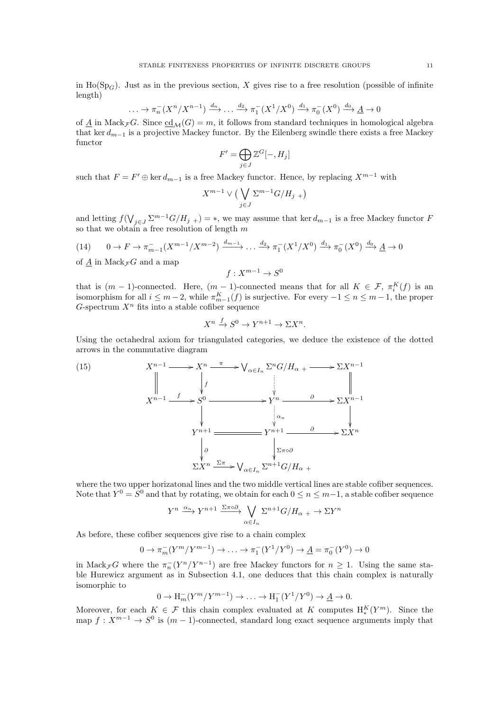in Ho(Sp<sub>G</sub>). Just as in the previous section, X gives rise to a free resolution (possible of infinite length)

$$
\dots \to \pi_n^-(X^n/X^{n-1}) \xrightarrow{d_n} \dots \xrightarrow{d_2} \pi_1^-(X^1/X^0) \xrightarrow{d_1} \pi_0^-(X^0) \xrightarrow{d_0} \underline{A} \to 0
$$

of  $\underline{A}$  in Mack<sub>F</sub> G. Since  $\underline{cd}_{\mathcal{M}}(G) = m$ , it follows from standard techniques in homological algebra that ker  $d_{m-1}$  is a projective Mackey functor. By the Eilenberg swindle there exists a free Mackey functor

$$
F' = \bigoplus_{j \in J} \mathbb{Z}^G[-, H_j]
$$

such that  $F = F' \oplus \ker d_{m-1}$  is a free Mackey functor. Hence, by replacing  $X^{m-1}$  with

$$
X^{m-1} \vee \big(\bigvee_{j \in J} \Sigma^{m-1} G/H_{j+}\big)
$$

and letting  $f(\bigvee_{j\in J}\sum^{m-1}G/H_{j+})=*$ , we may assume that ker  $d_{m-1}$  is a free Mackey functor F so that we obtain a free resolution of length  $m$ 

(14) 
$$
0 \to F \to \pi_{m-1}^-(X^{m-1}/X^{m-2}) \xrightarrow{d_{m-1}} \dots \xrightarrow{d_2} \pi_1^-(X^1/X^0) \xrightarrow{d_1} \pi_0^-(X^0) \xrightarrow{d_0} \underline{A} \to 0
$$

of  $\underline{A}$  in  $\mathrm{Mack}_{\mathcal{F}}G$  and a map

$$
f: X^{m-1} \to S^0
$$

that is  $(m-1)$ -connected. Here,  $(m-1)$ -connected means that for all  $K \in \mathcal{F}$ ,  $\pi_i^K(f)$  is an isomorphism for all  $i \leq m-2$ , while  $\pi_{m-1}^K(f)$  is surjective. For every  $-1 \leq n \leq m-1$ , the proper G-spectrum  $X<sup>n</sup>$  fits into a stable cofiber sequence

$$
X^n \xrightarrow{f} S^0 \to Y^{n+1} \to \Sigma X^n.
$$

Using the octahedral axiom for triangulated categories, we deduce the existence of the dotted arrows in the commutative diagram

(15)  
\n
$$
X^{n-1} \longrightarrow X^n \xrightarrow{\pi} \bigvee_{\alpha \in I_n} \Sigma^n G / H_{\alpha} + \longrightarrow \Sigma X^{n-1}
$$
\n
$$
X^{n-1} \longrightarrow S^0 \longrightarrow Y^n \longrightarrow \partial \longrightarrow \Sigma X^{n-1}
$$
\n
$$
Y^{n+1} \longrightarrow Y^{n+1} \longrightarrow Y^{n+1} \longrightarrow \partial \longrightarrow \Sigma X^n
$$
\n
$$
\downarrow \alpha_n \qquad \qquad \downarrow \qquad \qquad \alpha_n \qquad \qquad \downarrow
$$
\n
$$
\Sigma X^n \xrightarrow{\Sigma \pi} \bigvee_{\alpha \in I_n} \Sigma^{n+1} G / H_{\alpha} +
$$

where the two upper horizatonal lines and the two middle vertical lines are stable cofiber sequences. Note that  $Y^0 = S^0$  and that by rotating, we obtain for each  $0 \le n \le m-1$ , a stable cofiber sequence

$$
Y^n \xrightarrow{\alpha_n} Y^{n+1} \xrightarrow{\Sigma \pi \circ \partial} \bigvee_{\alpha \in I_n} \Sigma^{n+1} G/H_{\alpha} \to \Sigma Y^n
$$

As before, these cofiber sequences give rise to a chain complex

$$
0 \to \pi_m^-(Y^m/Y^{m-1}) \to \dots \to \pi_1^-(Y^1/Y^0) \to \underline{A} = \pi_0^-(Y^0) \to 0
$$

in Mack<sub>F</sub>G where the  $\pi_n^{-}(Y^n/Y^{n-1})$  are free Mackey functors for  $n \geq 1$ . Using the same stable Hurewicz argument as in Subsection 4.1, one deduces that this chain complex is naturally isomorphic to

$$
0 \to \mathrm{H}^-_m(Y^m/Y^{m-1}) \to \ldots \to \mathrm{H}^-_1(Y^1/Y^0) \to \underline{A} \to 0.
$$

Moreover, for each  $K \in \mathcal{F}$  this chain complex evaluated at K computes  $H_*^K(Y^m)$ . Since the map  $f: X^{m-1} \to S^0$  is  $(m-1)$ -connected, standard long exact sequence arguments imply that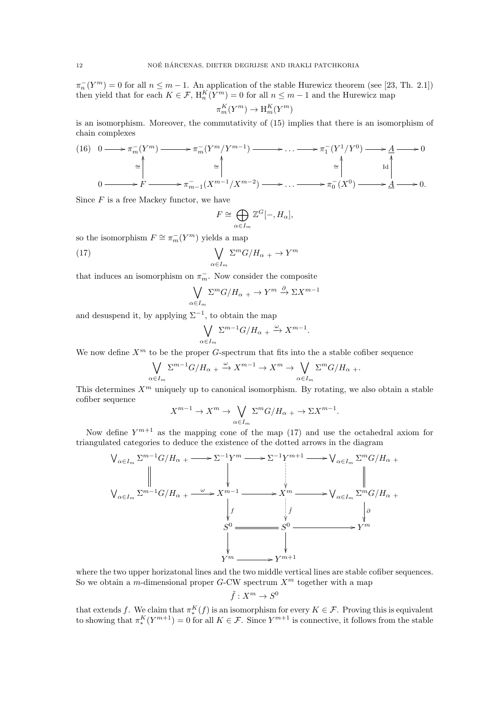$\pi_n^{-}(Y^m) = 0$  for all  $n \leq m-1$ . An application of the stable Hurewicz theorem (see [23, Th. 2.1]) then yield that for each  $K \in \mathcal{F}$ ,  $H_n^K(Y^m) = 0$  for all  $n \leq m-1$  and the Hurewicz map

$$
\pi_m^K(Y^m) \to \mathcal{H}_m^K(Y^m)
$$

is an isomorphism. Moreover, the commutativity of (15) implies that there is an isomorphism of chain complexes

(16) 
$$
0 \longrightarrow \pi_m^{-}(Y^m) \longrightarrow \pi_m^{-}(Y^m/Y^{m-1}) \longrightarrow \dots \longrightarrow \pi_1^{-}(Y^1/Y^0) \longrightarrow A \longrightarrow 0
$$
  
\n
$$
\cong \uparrow \qquad \cong \uparrow \qquad \qquad \cong \uparrow \qquad \qquad \downarrow
$$
  
\n
$$
0 \longrightarrow F \longrightarrow \pi_{m-1}^{-}(X^{m-1}/X^{m-2}) \longrightarrow \dots \longrightarrow \pi_0^{-}(X^0) \longrightarrow A \longrightarrow 0.
$$

Since  $F$  is a free Mackey functor, we have

$$
F \cong \bigoplus_{\alpha \in I_m} \mathbb{Z}^G[-, H_\alpha],
$$

so the isomorphism  $F \cong \pi_m^-(Y^m)$  yields a map

(17) 
$$
\bigvee_{\alpha \in I_m} \Sigma^m G / H_{\alpha} + \rightarrow Y^m
$$

that induces an isomorphism on  $\pi_m^-$ . Now consider the composite

$$
\bigvee_{\alpha \in I_m} \Sigma^m G / H_{\alpha} + \rightarrow Y^m \stackrel{\partial}{\rightarrow} \Sigma X^{m-1}
$$

and desuspend it, by applying  $\Sigma^{-1}$ , to obtain the map

$$
\bigvee_{\alpha \in I_m} \Sigma^{m-1} G/H_{\alpha} + \xrightarrow{\omega} X^{m-1}
$$

.

We now define  $X^m$  to be the proper G-spectrum that fits into the a stable cofiber sequence

$$
\bigvee_{\alpha \in I_m} \Sigma^{m-1} G/H_{\alpha} + \xrightarrow{\omega} X^{m-1} \to X^m \to \bigvee_{\alpha \in I_m} \Sigma^m G/H_{\alpha} + \cdots
$$

This determines  $X^m$  uniquely up to canonical isomorphism. By rotating, we also obtain a stable cofiber sequence

$$
X^{m-1} \to X^m \to \bigvee_{\alpha \in I_m} \Sigma^m G/H_{\alpha} \to \Sigma X^{m-1}.
$$

Now define  $Y^{m+1}$  as the mapping cone of the map (17) and use the octahedral axiom for triangulated categories to deduce the existence of the dotted arrows in the diagram

$$
\begin{array}{ccc}\n\bigvee_{\alpha \in I_m} \Sigma^{m-1} G/H_{\alpha} + \longrightarrow \Sigma^{-1} Y^m \longrightarrow \Sigma^{-1} Y^{m+1} \longrightarrow \bigvee_{\alpha \in I_m} \Sigma^m G/H_{\alpha} + \\
& & \Big\| \\
\bigvee_{\alpha \in I_m} \Sigma^{m-1} G/H_{\alpha} + \longrightarrow X^{m-1} \longrightarrow X^m \longrightarrow \bigvee_{\alpha \in I_m} \Sigma^m G/H_{\alpha} + \\
& & \Big\downarrow f & & \Big\downarrow \partial \\
& & S^0 \longrightarrow S^0 \longrightarrow Y^m \\
& & & \Big\downarrow \qquad Y^m \longrightarrow Y^{m+1}\n\end{array}
$$

where the two upper horizatonal lines and the two middle vertical lines are stable cofiber sequences. So we obtain a m-dimensional proper G-CW spectrum  $X^m$  together with a map

$$
\tilde{f}: X^m \to S^0
$$

that extends f. We claim that  $\pi_*^K(f)$  is an isomorphism for every  $K \in \mathcal{F}$ . Proving this is equivalent to showing that  $\pi_*^K(Y^{m+1}) = 0$  for all  $K \in \mathcal{F}$ . Since  $Y^{m+1}$  is connective, it follows from the stable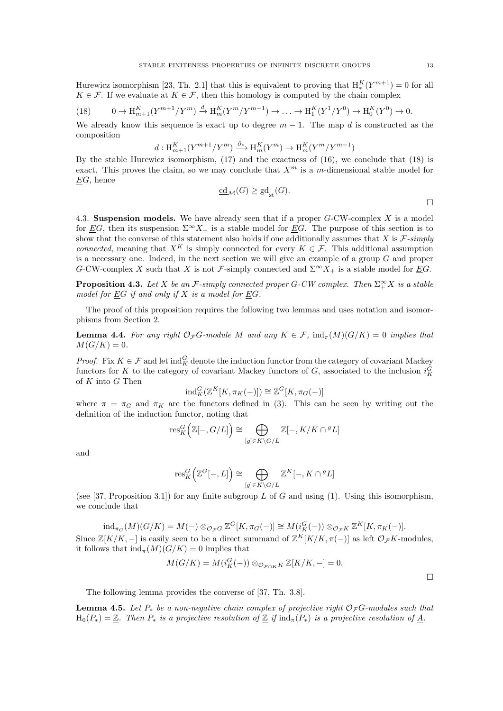Hurewicz isomorphism [23, Th. 2.1] that this is equivalent to proving that  $H_*^K(Y^{m+1}) = 0$  for all  $K \in \mathcal{F}$ . If we evaluate at  $K \in \mathcal{F}$ , then this homology is computed by the chain complex

(18) 
$$
0 \to \mathrm{H}_{m+1}^K(Y^{m+1}/Y^m) \xrightarrow{d} \mathrm{H}_m^K(Y^m/Y^{m-1}) \to \ldots \to \mathrm{H}_1^K(Y^1/Y^0) \to \mathrm{H}_0^K(Y^0) \to 0.
$$

We already know this sequence is exact up to degree  $m-1$ . The map d is constructed as the composition

$$
d: \mathrm{H}^K_{m+1}(Y^{m+1}/Y^m) \xrightarrow{\partial_*} \mathrm{H}^K_m(Y^m) \to \mathrm{H}^K_m(Y^m/Y^{m-1})
$$

By the stable Hurewicz isomorphism, (17) and the exactness of (16), we conclude that (18) is exact. This proves the claim, so we may conclude that  $X^m$  is a m-dimensional stable model for  $\underline{E}G$ , hence

$$
\underline{\mathrm{cd}}_{\mathcal{M}}(G) \ge \underline{\mathrm{gd}}_{\mathrm{st}}(G). \tag{\Box}
$$

4.3. Suspension models. We have already seen that if a proper  $G$ -CW-complex X is a model for EG, then its suspension  $\Sigma^{\infty} X_+$  is a stable model for EG. The purpose of this section is to show that the converse of this statement also holds if one additionally assumes that X is  $\mathcal{F}\text{-simply}$ connected, meaning that  $X^K$  is simply connected for every  $K \in \mathcal{F}$ . This additional assumption is a necessary one. Indeed, in the next section we will give an example of a group G and proper G-CW-complex X such that X is not F-simply connected and  $\Sigma^{\infty} X_+$  is a stable model for EG.

**Proposition 4.3.** Let X be an F-simply connected proper G-CW complex. Then  $\Sigma^{\infty}_+ X$  is a stable model for  $EG$  if and only if  $X$  is a model for  $EG$ .

The proof of this proposition requires the following two lemmas and uses notation and isomorphisms from Section 2.

**Lemma 4.4.** For any right  $\mathcal{O}_{\mathcal{F}}G$ -module M and any  $K \in \mathcal{F}$ ,  $\text{ind}_{\pi}(M)(G/K) = 0$  implies that  $M(G/K) = 0.$ 

*Proof.* Fix  $K \in \mathcal{F}$  and let  $\text{ind}_{K}^{G}$  denote the induction functor from the category of covariant Mackey functors for K to the category of covariant Mackey functors of G, associated to the inclusion  $i_K^G$ of  $K$  into  $G$  Then

$$
\mathrm{ind}_K^G(\mathbb{Z}^K[K,\pi_K(-)]) \cong \mathbb{Z}^G[K,\pi_G(-)]
$$

where  $\pi = \pi_G$  and  $\pi_K$  are the functors defined in (3). This can be seen by writing out the definition of the induction functor, noting that

$$
\mathrm{res}^G_K\Big(\mathbb{Z}[-,G/L]\Big)\cong\bigoplus_{[g]\in K\backslash G/L}\mathbb{Z}[-,K/K\cap {}^gL]
$$

and

$$
\text{res}_{K}^{G}(\mathbb{Z}^{G}[-,L]) \cong \bigoplus_{[g] \in K \backslash G/L} \mathbb{Z}^{K}[-,K \cap {}^{g}L]
$$

(see [37, Proposition 3.1]) for any finite subgroup L of G and using (1). Using this isomorphism, we conclude that

$$
\mathrm{ind}_{\pi_G}(M)(G/K) = M(-) \otimes_{\mathcal{O}_{\mathcal{F}}G} \mathbb{Z}^G[K, \pi_G(-)] \cong M(i_K^G(-)) \otimes_{\mathcal{O}_{\mathcal{F}}K} \mathbb{Z}^K[K, \pi_K(-)].
$$
  
Since  $\mathbb{Z}[K/K, -]$  is easily seen to be a direct summand of  $\mathbb{Z}^K[K/K, \pi(-)]$  as left  $\mathcal{O}_{\mathcal{F}}K$ -modules, it follows that  $\mathrm{ind}_{\pi}(M)(G/K) = 0$  implies that

$$
M(G/K) = M(i_K^G(-)) \otimes_{\mathcal{O}_{\mathcal{F}\cap K}K} \mathbb{Z}[K/K, -] = 0.
$$

 $\Box$ 

The following lemma provides the converse of [37, Th. 3.8].

**Lemma 4.5.** Let  $P_*$  be a non-negative chain complex of projective right  $\mathcal{O}_F G$ -modules such that  $H_0(P_*) = \mathbb{Z}$ . Then  $P_*$  is a projective resolution of  $\mathbb{Z}$  if  $\text{ind}_{\pi}(P_*)$  is a projective resolution of A.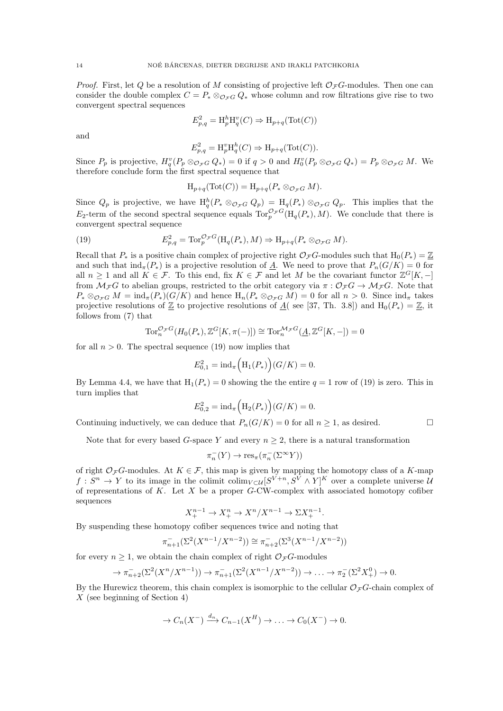*Proof.* First, let Q be a resolution of M consisting of projective left  $\mathcal{O}_{\mathcal{F}}G$ -modules. Then one can consider the double complex  $C = P_* \otimes_{\mathcal{O}_F G} Q_*$  whose column and row filtrations give rise to two convergent spectral sequences

$$
E_{p,q}^2 = \mathrm{H}_p^h \mathrm{H}_q^v(C) \Rightarrow \mathrm{H}_{p+q}(\mathrm{Tot}(C))
$$

and

$$
E_{p,q}^2 = \mathrm{H}_p^v \mathrm{H}_q^h(C) \Rightarrow \mathrm{H}_{p+q}(\mathrm{Tot}(C)).
$$

Since  $P_p$  is projective,  $H_q^v(P_p \otimes_{\mathcal{O}_{\mathcal{F}}G} Q_*) = 0$  if  $q > 0$  and  $H_0^v(P_p \otimes_{\mathcal{O}_{\mathcal{F}}G} Q_*) = P_p \otimes_{\mathcal{O}_{\mathcal{F}}G} M$ . We therefore conclude form the first spectral sequence that

$$
\mathrm{H}_{p+q}(\mathrm{Tot}(C)) = \mathrm{H}_{p+q}(P_* \otimes_{\mathcal{O}_{\mathcal{F}}G} M).
$$

Since  $Q_p$  is projective, we have  $H_q^h(P_* \otimes_{\mathcal{O}_{\mathcal{F}}G} Q_p) = H_q(P_*) \otimes_{\mathcal{O}_{\mathcal{F}}G} Q_p$ . This implies that the E<sub>2</sub>-term of the second spectral sequence equals  $\text{Tor}_{p}^{\mathcal{O}_{\mathcal{F}}G}(\text{H}_{q}(P_*,), M)$ . We conclude that there is convergent spectral sequence

(19) 
$$
E_{p,q}^2 = \text{Tor}_p^{\mathcal{O}_{\mathcal{F}}G}(\text{H}_q(P_*), M) \Rightarrow \text{H}_{p+q}(P_* \otimes_{\mathcal{O}_{\mathcal{F}}G} M).
$$

Recall that  $P_*$  is a positive chain complex of projective right  $\mathcal{O}_F G$ -modules such that  $H_0(P_*) = \mathbb{Z}$ and such that  $\text{ind}_{\pi}(P_*)$  is a projective resolution of A. We need to prove that  $P_n(G/K) = 0$  for all  $n \geq 1$  and all  $K \in \mathcal{F}$ . To this end, fix  $K \in \mathcal{F}$  and let M be the covariant functor  $\mathbb{Z}^G[K, -]$ from  $\mathcal{M}_{\mathcal{F}}G$  to abelian groups, restricted to the orbit category via  $\pi: \mathcal{O}_{\mathcal{F}}G \to \mathcal{M}_{\mathcal{F}}G$ . Note that  $P_* \otimes_{\mathcal{O}_F G} M = \text{ind}_{\pi}(P_*)(G/K)$  and hence  $H_n(P_* \otimes_{\mathcal{O}_F G} M) = 0$  for all  $n > 0$ . Since  $\text{ind}_{\pi}$  takes projective resolutions of  $\underline{\mathbb{Z}}$  to projective resolutions of  $\underline{A}$ ( see [37, Th. 3.8]) and  $H_0(P_*) = \underline{\mathbb{Z}}$ , it follows from (7) that

$$
\operatorname{Tor}^{\mathcal{O}_\mathcal{F}G}_n(H_0(P_*), \mathbb{Z}^G[K, \pi(-)]) \cong \operatorname{Tor}^{\mathcal{M}_\mathcal{F}G}_n(\underline{A}, \mathbb{Z}^G[K, -]) = 0
$$

for all  $n > 0$ . The spectral sequence (19) now implies that

$$
E_{0,1}^2 = \mathrm{ind}_{\pi} \Big( \mathrm{H}_1(P_*) \Big) (G/K) = 0.
$$

By Lemma 4.4, we have that  $H_1(P_*)=0$  showing the the entire  $q=1$  row of (19) is zero. This in turn implies that

$$
E_{0,2}^2 = \mathrm{ind}_{\pi} \Big( \mathrm{H}_2(P_*) \Big) (G/K) = 0.
$$

Continuing inductively, we can deduce that  $P_n(G/K) = 0$  for all  $n \ge 1$ , as desired.

Note that for every based G-space Y and every  $n \geq 2$ , there is a natural transformation

$$
\pi^-_n(Y)\to \operatorname{res}_\pi(\pi^-_n(\Sigma^\infty Y))
$$

of right  $\mathcal{O}_{\mathcal{F}}G$ -modules. At  $K \in \mathcal{F}$ , this map is given by mapping the homotopy class of a K-map  $f: S^n \to Y$  to its image in the colimit  $\text{colim}_{V \subset \mathcal{U}}[S^{V+n}, S^V \wedge Y]^K$  over a complete universe  $\mathcal{U}$ of representations of K. Let  $X$  be a proper G-CW-complex with associated homotopy cofiber sequences

$$
X_+^{n-1}\to X_+^n\to X^n/X^{n-1}\to \Sigma X_+^{n-1}.
$$

By suspending these homotopy cofiber sequences twice and noting that

$$
\pi_{n+1}^{-}(\Sigma^{2}(X^{n-1}/X^{n-2})) \cong \pi_{n+2}^{-}(\Sigma^{3}(X^{n-1}/X^{n-2}))
$$

for every  $n \geq 1$ , we obtain the chain complex of right  $\mathcal{O}_{\mathcal{F}}G$ -modules

$$
\to \pi_{n+2}^{-}(\Sigma^{2}(X^{n}/X^{n-1})) \to \pi_{n+1}^{-}(\Sigma^{2}(X^{n-1}/X^{n-2})) \to \dots \to \pi_{2}^{-}(\Sigma^{2}X^{0}_{+}) \to 0.
$$

By the Hurewicz theorem, this chain complex is isomorphic to the cellular  $\mathcal{O}_{\mathcal{F}}G$ -chain complex of X (see beginning of Section 4)

$$
\to C_n(X^-) \xrightarrow{d_n} C_{n-1}(X^H) \to \dots \to C_0(X^-) \to 0.
$$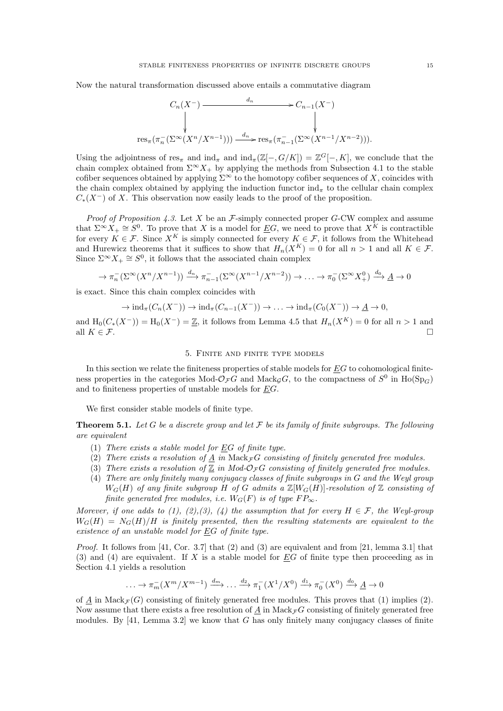Now the natural transformation discussed above entails a commutative diagram

$$
C_n(X^-) \xrightarrow{d_n} C_{n-1}(X^-)
$$
\n
$$
\downarrow \qquad \qquad \downarrow
$$
\n
$$
\text{res}_{\pi}(\pi_n^-(\Sigma^\infty(X^n/X^{n-1}))) \xrightarrow{d_n} \text{res}_{\pi}(\pi_{n-1}^-(\Sigma^\infty(X^{n-1}/X^{n-2}))).
$$

Using the adjointness of  $res_{\pi}$  and  $ind_{\pi} \infty[\mathbb{Z}[-,G/K]] = \mathbb{Z}^{G}[-,K]$ , we conclude that the chain complex obtained from  $\Sigma^{\infty} X_+$  by applying the methods from Subsection 4.1 to the stable cofiber sequences obtained by applying  $\Sigma^{\infty}$  to the homotopy cofiber sequences of X, coincides with the chain complex obtained by applying the induction functor  $\text{ind}_{\pi}$  to the cellular chain complex  $C_*(X^-)$  of X. This observation now easily leads to the proof of the proposition.

*Proof of Proposition 4.3.* Let X be an  $\mathcal{F}$ -simply connected proper G-CW complex and assume that  $\Sigma^{\infty} X_+ \cong S^0$ . To prove that X is a model for EG, we need to prove that  $X^{\tilde{K}}$  is contractible for every  $K \in \mathcal{F}$ . Since  $X^K$  is simply connected for every  $K \in \mathcal{F}$ , it follows from the Whitehead and Hurewicz theorems that it suffices to show that  $H_n(X^K) = 0$  for all  $n > 1$  and all  $K \in \mathcal{F}$ . Since  $\Sigma^{\infty} X_+ \cong S^0$ , it follows that the associated chain complex

$$
\to \pi_n^-(\Sigma^\infty(X^n/X^{n-1})) \xrightarrow{d_n} \pi_{n-1}^-(\Sigma^\infty(X^{n-1}/X^{n-2})) \to \dots \to \pi_0^-(\Sigma^\infty X^0_+) \xrightarrow{d_0} \underline{A} \to 0
$$

is exact. Since this chain complex coincides with

$$
\rightarrow \mathrm{ind}_{\pi}(C_n(X^-)) \rightarrow \mathrm{ind}_{\pi}(C_{n-1}(X^-)) \rightarrow \ldots \rightarrow \mathrm{ind}_{\pi}(C_0(X^-)) \rightarrow \underline{A} \rightarrow 0,
$$

and  $H_0(C_*(X^-)) = H_0(X^-) = \underline{\mathbb{Z}}$ , it follows from Lemma 4.5 that  $H_n(X^K) = 0$  for all  $n > 1$  and all  $K \in \mathcal{F}$ .

#### 5. Finite and finite type models

In this section we relate the finiteness properties of stable models for  $EG$  to cohomological finiteness properties in the categories Mod- $\mathcal{O}_{\mathcal{F}}G$  and Mack<sub>G</sub>G, to the compactness of  $S^0$  in  $\text{Ho}(\text{Sp}_G)$ and to finiteness properties of unstable models for EG.

We first consider stable models of finite type.

**Theorem 5.1.** Let G be a discrete group and let F be its family of finite subgroups. The following are equivalent

- (1) There exists a stable model for  $EG$  of finite type.
- (2) There exists a resolution of  $\underline{A}$  in Mack<sub>F</sub>G consisting of finitely generated free modules.
- (3) There exists a resolution of  $\mathbb Z$  in Mod-O<sub>F</sub>G consisting of finitely generated free modules.
- (4) There are only finitely many conjugacy classes of finite subgroups in G and the Weyl group  $W_G(H)$  of any finite subgroup H of G admits a  $\mathbb{Z}[W_G(H)]$ -resolution of  $\mathbb Z$  consisting of finite generated free modules, i.e.  $W_G(F)$  is of type  $FP_{\infty}$ .

Morever, if one adds to (1), (2), (3), (4) the assumption that for every  $H \in \mathcal{F}$ , the Weyl-group  $W_G(H) = N_G(H)/H$  is finitely presented, then the resulting statements are equivalent to the existence of an unstable model for EG of finite type.

*Proof.* It follows from [41, Cor. 3.7] that  $(2)$  and  $(3)$  are equivalent and from [21, lemma 3.1] that (3) and (4) are equivalent. If X is a stable model for  $EG$  of finite type then proceeding as in Section 4.1 yields a resolution

$$
\dots \to \pi_m^-(X^m/X^{m-1}) \xrightarrow{d_m} \dots \xrightarrow{d_2} \pi_1^-(X^1/X^0) \xrightarrow{d_1} \pi_0^-(X^0) \xrightarrow{d_0} \underline{A} \to 0
$$

of  $\underline{A}$  in Mack $\mathcal{F}(G)$  consisting of finitely generated free modules. This proves that (1) implies (2). Now assume that there exists a free resolution of A in Mack<sub>F</sub> G consisting of finitely generated free modules. By  $[41, \text{Lemma } 3.2]$  we know that G has only finitely many conjugacy classes of finite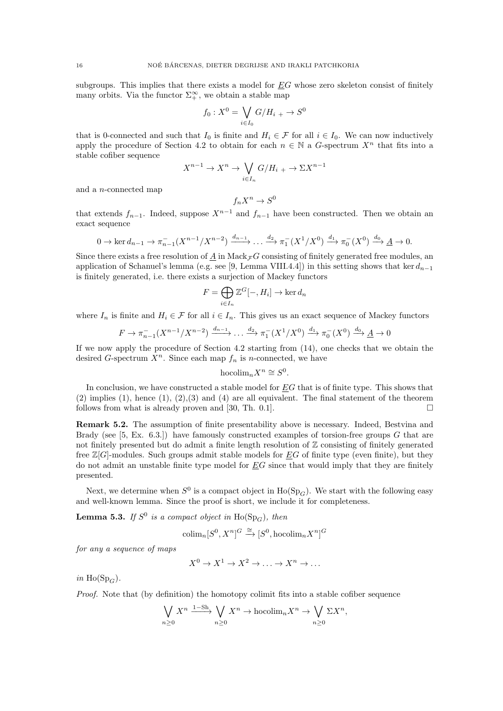subgroups. This implies that there exists a model for  $EG$  whose zero skeleton consist of finitely many orbits. Via the functor  $\Sigma_+^{\infty}$ , we obtain a stable map

$$
f_0: X^0 = \bigvee_{i \in I_0} G/H_{i} \to S^0
$$

that is 0-connected and such that  $I_0$  is finite and  $H_i \in \mathcal{F}$  for all  $i \in I_0$ . We can now inductively apply the procedure of Section 4.2 to obtain for each  $n \in \mathbb{N}$  a G-spectrum  $X^n$  that fits into a stable cofiber sequence

$$
X^{n-1} \to X^n \to \bigvee_{i \in I_n} G/H_{i+1} \to \Sigma X^{n-1}
$$

and a n-connected map

$$
f_n X^n \to S^0
$$

that extends  $f_{n-1}$ . Indeed, suppose  $X^{n-1}$  and  $f_{n-1}$  have been constructed. Then we obtain an exact sequence

$$
0 \to \ker d_{n-1} \to \pi_{n-1}^-(X^{n-1}/X^{n-2}) \xrightarrow{d_{n-1}} \dots \xrightarrow{d_2} \pi_1^-(X^1/X^0) \xrightarrow{d_1} \pi_0^-(X^0) \xrightarrow{d_0} \underline{A} \to 0.
$$

Since there exists a free resolution of  $\underline{A}$  in Mack $\tau G$  consisting of finitely generated free modules, an application of Schanuel's lemma (e.g. see [9, Lemma VIII.4.4]) in this setting shows that ker  $d_{n-1}$ is finitely generated, i.e. there exists a surjection of Mackey functors

$$
F = \bigoplus_{i \in I_n} \mathbb{Z}^G[-, H_i] \to \ker d_n
$$

where  $I_n$  is finite and  $H_i \in \mathcal{F}$  for all  $i \in I_n$ . This gives us an exact sequence of Mackey functors

$$
F \to \pi_{n-1}^-(X^{n-1}/X^{n-2}) \xrightarrow{d_{n-1}} \dots \xrightarrow{d_2} \pi_1^-(X^1/X^0) \xrightarrow{d_1} \pi_0^-(X^0) \xrightarrow{d_0} \underline{A} \to 0
$$

If we now apply the procedure of Section 4.2 starting from (14), one checks that we obtain the desired G-spectrum  $X^n$ . Since each map  $f_n$  is n-connected, we have

$$
\operatorname{hocolim} _nX^n\cong S^0.
$$

In conclusion, we have constructed a stable model for EG that is of finite type. This shows that  $(2)$  implies  $(1)$ , hence  $(1)$ ,  $(2)$ ,  $(3)$  and  $(4)$  are all equivalent. The final statement of the theorem follows from what is already proven and [30, Th. 0.1].

Remark 5.2. The assumption of finite presentability above is necessary. Indeed, Bestvina and Brady (see [5, Ex. 6.3.]) have famously constructed examples of torsion-free groups  $G$  that are not finitely presented but do admit a finite length resolution of  $\mathbb Z$  consisting of finitely generated free  $\mathbb{Z}[G]$ -modules. Such groups admit stable models for EG of finite type (even finite), but they do not admit an unstable finite type model for  $\underline{E}G$  since that would imply that they are finitely presented.

Next, we determine when  $S^0$  is a compact object in  $Ho(\mathrm{Sp}_G)$ . We start with the following easy and well-known lemma. Since the proof is short, we include it for completeness.

**Lemma 5.3.** If  $S^0$  is a compact object in  $Ho(\mathrm{Sp}_G)$ , then

$$
\text{colim}_{n}[S^{0}, X^{n}]^{G} \xrightarrow{\cong} [S^{0}, \text{hocolim}_{n} X^{n}]^{G}
$$

for any a sequence of maps

$$
X^0 \to X^1 \to X^2 \to \ldots \to X^n \to \ldots
$$

in Ho(Sp<sub> $C$ </sub>).

Proof. Note that (by definition) the homotopy colimit fits into a stable cofiber sequence

$$
\bigvee_{n\geq 0} X^n \xrightarrow{1-\text{Sh}} \bigvee_{n\geq 0} X^n \to \text{hocolim}_n X^n \to \bigvee_{n\geq 0} \Sigma X^n,
$$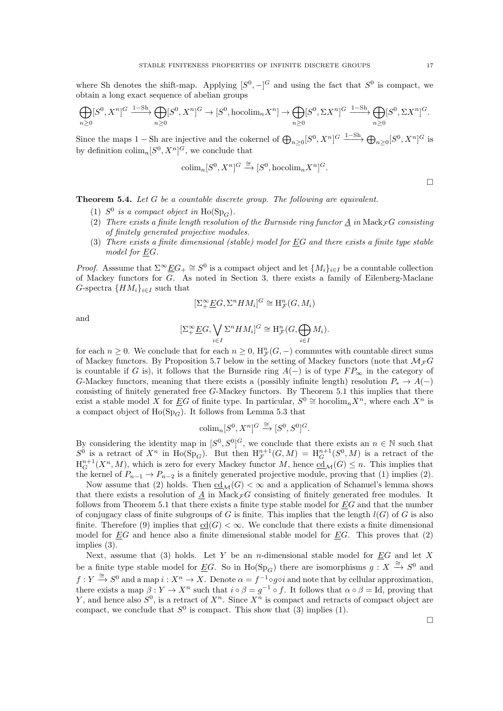where Sh denotes the shift-map. Applying  $[S^0, -]$ <sup>G</sup> and using the fact that  $S^0$  is compact, we obtain a long exact sequence of abelian groups

$$
\bigoplus_{n\geq 0} [S^0, X^n]^{G} \xrightarrow{1-\text{Sh}} \bigoplus_{n\geq 0} [S^0, X^n]^{G} \to [S^0, \text{hocolim}_n X^n] \to \bigoplus_{n\geq 0} [S^0, \Sigma X^n]^{G} \xrightarrow{1-\text{Sh}} \bigoplus_{n\geq 0} [S^0, \Sigma X^n]^{G}.
$$

Since the maps 1 – Sh are injective and the cokernel of  $\bigoplus_{n\geq 0} [S^0, X^n]^{G} \xrightarrow{1-\text{Sh}} \bigoplus_{n\geq 0} [S^0, X^n]^{G}$  is by definition  $\text{colim}_{n}[S^{0}, X^{n}]^{G}$ , we conclude that

$$
\text{colim}_n[S^0, X^n]^G \xrightarrow{\cong} [S^0, \text{hocolim}_n X^n]^G.
$$

**Theorem 5.4.** Let  $G$  be a countable discrete group. The following are equivalent.

- (1)  $S^0$  is a compact object in Ho(Sp<sub>G</sub>).
- (2) There exists a finite length resolution of the Burnside ring functor A in Mack  $\overline{\tau}G$  consisting of finitely generated projective modules.
- (3) There exists a finite dimensional (stable) model for EG and there exists a finite type stable model for EG.

*Proof.* Asssume that  $\Sigma^{\infty} \underline{E} G_+ \cong S^0$  is a compact object and let  $\{M_i\}_{i\in I}$  be a countable collection of Mackey functors for G. As noted in Section 3, there exists a family of Eilenberg-Maclane G-spectra  $\{HM_i\}_{i\in I}$  such that

$$
[\Sigma^{\infty}_+\underline{E}G,\Sigma^nHM_i]^G\cong \mathrm{H}^n_{\mathcal{F}}(G,M_i)
$$

and

$$
[\Sigma^{\infty}_+\underline{E}G,\bigvee_{i\in I}\Sigma^nHM_i]^G\cong \mathrm{H}^n_{\mathcal{F}}(G,\bigoplus_{i\in I}M_i).
$$

for each  $n \geq 0$ . We conclude that for each  $n \geq 0$ ,  $H_{\mathcal{F}}^{n}(G, -)$  commutes with countable direct sums of Mackey functors. By Proposition 5.7 below in the setting of Mackey functors (note that  $\mathcal{M}_{\mathcal{F}}G$ is countable if G is), it follows that the Burnside ring  $A(-)$  is of type  $FP_{\infty}$  in the category of G-Mackey functors, meaning that there exists a (possibly infinite length) resolution  $P_* \to A(-)$ consisting of finitely generated free G-Mackey functors. By Theorem 5.1 this implies that there exist a stable model X for EG of finite type. In particular,  $S^0 \cong \text{hocolim}_n X^n$ , where each  $X^n$  is a compact object of  $Ho(\mathrm{Sp}_G)$ . It follows from Lemma 5.3 that

$$
\text{colim}_n[S^0, X^n]^G \xrightarrow{\cong} [S^0, S^0]^G.
$$

By considering the identity map in  $[S^0, S^0]^G$ , we conclude that there exists an  $n \in \mathbb{N}$  such that  $S^0$  is a retract of  $X^n$  in Ho(Sp<sub>G</sub>). But then  $H^{n+1}_\mathcal{F}(G,M) = H^{n+1}_G(S^0,M)$  is a retract of the  $H_G^{n+1}(X^n, M)$ , which is zero for every Mackey functor M, hence  $\underline{cd}_{\mathcal{M}}(G) \leq n$ . This implies that the kernel of  $P_{n-1} \to P_{n-2}$  is a finitely generated projective module, proving that (1) implies (2).

Now assume that (2) holds. Then  $\text{cd}_{\mathcal{M}}(G) < \infty$  and a application of Schanuel's lemma shows that there exists a resolution of A in Mack $_{\mathcal{F}}G$  consisting of finitely generated free modules. It follows from Theorem 5.1 that there exists a finite type stable model for EG and that the number of conjugacy class of finite subgroups of G is finite. This implies that the length  $l(G)$  of G is also finite. Therefore (9) implies that  $\text{cd}(G) < \infty$ . We conclude that there exists a finite dimensional model for  $EG$  and hence also a finite dimensional stable model for  $EG$ . This proves that  $(2)$ implies (3).

Next, assume that (3) holds. Let Y be an *n*-dimensional stable model for  $\underline{E}G$  and let X be a finite type stable model for  $\underline{E}G$ . So in  $\text{Ho}(\text{Sp}_G)$  there are isomorphisms  $g: X \overset{\cong}{\to} S^0$  and  $f: Y \xrightarrow{\cong} S^0$  and a map  $i: X^n \to X$ . Denote  $\alpha = f^{-1} \circ g \circ i$  and note that by cellular approximation, there exists a map  $\beta: Y \to X^n$  such that  $i \circ \beta = g^{-1} \circ f$ . It follows that  $\alpha \circ \beta = Id$ , proving that Y, and hence also  $S^0$ , is a retract of  $X^n$ . Since  $X^n$  is compact and retracts of compact object are compact, we conclude that  $S^0$  is compact. This show that (3) implies (1).

 $\Box$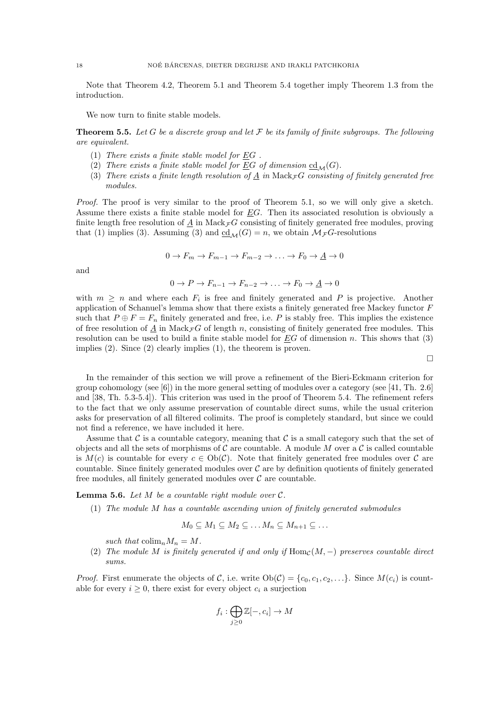Note that Theorem 4.2, Theorem 5.1 and Theorem 5.4 together imply Theorem 1.3 from the introduction.

We now turn to finite stable models.

**Theorem 5.5.** Let G be a discrete group and let F be its family of finite subgroups. The following are equivalent.

- (1) There exists a finite stable model for  $EG$ .
- (2) There exists a finite stable model for EG of dimension  $cd_{\mathcal{M}}(G)$ .
- (3) There exists a finite length resolution of  $\underline{A}$  in Mack<sub>F</sub> G consisting of finitely generated free modules.

Proof. The proof is very similar to the proof of Theorem 5.1, so we will only give a sketch. Assume there exists a finite stable model for  $EG$ . Then its associated resolution is obviously a finite length free resolution of A in Mack $\overline{\mathcal{F}}G$  consisting of finitely generated free modules, proving that (1) implies (3). Assuming (3) and  $\underline{cd}_{\mathcal{M}}(G) = n$ , we obtain  $\mathcal{M}_{\mathcal{F}}G$ -resolutions

$$
0 \to F_m \to F_{m-1} \to F_{m-2} \to \dots \to F_0 \to \underline{A} \to 0
$$

and

$$
0 \to P \to F_{n-1} \to F_{n-2} \to \dots \to F_0 \to \underline{A} \to 0
$$

with  $m \geq n$  and where each  $F_i$  is free and finitely generated and P is projective. Another application of Schanuel's lemma show that there exists a finitely generated free Mackey functor F such that  $P \oplus F = F_n$  finitely generated and free, i.e. P is stably free. This implies the existence of free resolution of A in Mack $\tau G$  of length n, consisting of finitely generated free modules. This resolution can be used to build a finite stable model for  $EG$  of dimension n. This shows that (3) implies (2). Since (2) clearly implies (1), the theorem is proven.

 $\Box$ 

In the remainder of this section we will prove a refinement of the Bieri-Eckmann criterion for group cohomology (see  $[6]$ ) in the more general setting of modules over a category (see  $[41, Th. 2.6]$ ) and [38, Th. 5.3-5.4]). This criterion was used in the proof of Theorem 5.4. The refinement refers to the fact that we only assume preservation of countable direct sums, while the usual criterion asks for preservation of all filtered colimits. The proof is completely standard, but since we could not find a reference, we have included it here.

Assume that C is a countable category, meaning that C is a small category such that the set of objects and all the sets of morphisms of C are countable. A module M over a C is called countable is  $M(c)$  is countable for every  $c \in Ob(\mathcal{C})$ . Note that finitely generated free modules over  $\mathcal C$  are countable. Since finitely generated modules over  $\mathcal C$  are by definition quotients of finitely generated free modules, all finitely generated modules over  $\mathcal C$  are countable.

**Lemma 5.6.** Let  $M$  be a countable right module over  $C$ .

(1) The module M has a countable ascending union of finitely generated submodules

$$
M_0 \subseteq M_1 \subseteq M_2 \subseteq \ldots M_n \subseteq M_{n+1} \subseteq \ldots
$$

such that  $\text{colim}_n M_n = M$ .

(2) The module M is finitely generated if and only if  $\text{Hom}_{\mathcal{C}}(M, -)$  preserves countable direct sums.

*Proof.* First enumerate the objects of C, i.e. write  $Ob(C) = \{c_0, c_1, c_2, ...\}$ . Since  $M(c_i)$  is countable for every  $i \geq 0$ , there exist for every object  $c_i$  a surjection

$$
f_i: \bigoplus_{j\geq 0} \mathbb{Z}[-,c_i] \to M
$$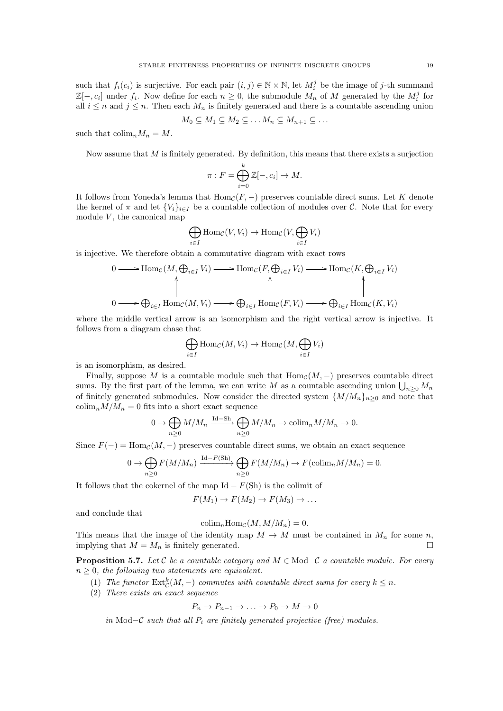such that  $f_i(c_i)$  is surjective. For each pair  $(i, j) \in \mathbb{N} \times \mathbb{N}$ , let  $M_i^j$  be the image of j-th summand  $\mathbb{Z}[-,c_i]$  under  $f_i$ . Now define for each  $n \geq 0$ , the submodule  $M_n$  of M generated by the  $M_i^j$  for all  $i \leq n$  and  $j \leq n$ . Then each  $M_n$  is finitely generated and there is a countable ascending union

$$
M_0 \subseteq M_1 \subseteq M_2 \subseteq \ldots M_n \subseteq M_{n+1} \subseteq \ldots
$$

such that  $\text{colim}_n M_n = M$ .

Now assume that  $M$  is finitely generated. By definition, this means that there exists a surjection

$$
\pi: F = \bigoplus_{i=0}^{k} \mathbb{Z}[-, c_i] \to M.
$$

It follows from Yoneda's lemma that  $\text{Hom}_{\mathcal{C}}(F, -)$  preserves countable direct sums. Let K denote the kernel of  $\pi$  and let  $\{V_i\}_{i\in I}$  be a countable collection of modules over C. Note that for every module  $V$ , the canonical map

$$
\bigoplus_{i \in I} \text{Hom}_{\mathcal{C}}(V, V_i) \to \text{Hom}_{\mathcal{C}}(V, \bigoplus_{i \in I} V_i)
$$

is injective. We therefore obtain a commutative diagram with exact rows

$$
0 \longrightarrow \text{Hom}_{\mathcal{C}}(M, \bigoplus_{i \in I} V_i) \longrightarrow \text{Hom}_{\mathcal{C}}(F, \bigoplus_{i \in I} V_i) \longrightarrow \text{Hom}_{\mathcal{C}}(K, \bigoplus_{i \in I} V_i)
$$
  

$$
0 \longrightarrow \bigoplus_{i \in I} \text{Hom}_{\mathcal{C}}(M, V_i) \longrightarrow \bigoplus_{i \in I} \text{Hom}_{\mathcal{C}}(F, V_i) \longrightarrow \bigoplus_{i \in I} \text{Hom}_{\mathcal{C}}(K, V_i)
$$

where the middle vertical arrow is an isomorphism and the right vertical arrow is injective. It follows from a diagram chase that

$$
\bigoplus_{i\in I} \operatorname{Hom}_{\mathcal{C}}(M,V_i) \to \operatorname{Hom}_{\mathcal{C}}(M,\bigoplus_{i\in I} V_i)
$$

is an isomorphism, as desired.

Finally, suppose M is a countable module such that  $\text{Hom}_{\mathcal{C}}(M, -)$  preserves countable direct sums. By the first part of the lemma, we can write M as a countable ascending union  $\bigcup_{n\geq 0} M_n$ of finitely generated submodules. Now consider the directed system  $\{M/M_n\}_{n>0}$  and note that  $\text{colim}_n M/M_n = 0$  fits into a short exact sequence

$$
0 \to \bigoplus_{n\geq 0} M/M_n \xrightarrow{\mathrm{Id}-\mathrm{Sh}} \bigoplus_{n\geq 0} M/M_n \to \mathrm{colim}_n M/M_n \to 0.
$$

Since  $F(-) = \text{Hom}_{\mathcal{C}}(M, -)$  preserves countable direct sums, we obtain an exact sequence

$$
0 \to \bigoplus_{n\geq 0} F(M/M_n) \xrightarrow{\mathrm{Id}-F(\mathrm{Sh})} \bigoplus_{n\geq 0} F(M/M_n) \to F(\mathrm{colim}_n M/M_n) = 0.
$$

It follows that the cokernel of the map Id  $-F(\text{Sh})$  is the colimit of

$$
F(M_1) \to F(M_2) \to F(M_3) \to \dots
$$

and conclude that

$$
\operatorname{colim}_{n} \operatorname{Hom}_{\mathcal{C}}(M, M/M_{n}) = 0.
$$

This means that the image of the identity map  $M \to M$  must be contained in  $M_n$  for some n, implying that  $M = M_n$  is finitely generated.

**Proposition 5.7.** Let C be a countable category and  $M \in Mod\text{-}C$  a countable module. For every  $n \geq 0$ , the following two statements are equivalent.

- (1) The functor  $\text{Ext}^k_{\mathcal{C}}(M, -)$  commutes with countable direct sums for every  $k \leq n$ .
- (2) There exists an exact sequence

$$
P_n \to P_{n-1} \to \ldots \to P_0 \to M \to 0
$$

in Mod–C such that all  $P_i$  are finitely generated projective (free) modules.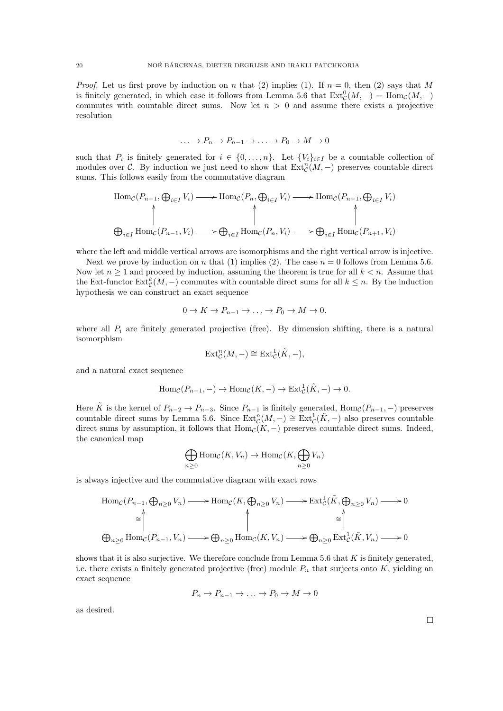*Proof.* Let us first prove by induction on n that (2) implies (1). If  $n = 0$ , then (2) says that M is finitely generated, in which case it follows from Lemma 5.6 that  $\text{Ext}^0_{\mathcal{C}}(M,-) = \text{Hom}_{\mathcal{C}}(M,-)$ commutes with countable direct sums. Now let  $n > 0$  and assume there exists a projective resolution

$$
\ldots \to P_n \to P_{n-1} \to \ldots \to P_0 \to M \to 0
$$

such that  $P_i$  is finitely generated for  $i \in \{0, \ldots, n\}$ . Let  $\{V_i\}_{i \in I}$  be a countable collection of modules over C. By induction we just need to show that  $\text{Ext}^n_{\mathcal{C}}(M,-)$  preserves countable direct sums. This follows easily from the commutative diagram

$$
\text{Hom}_{\mathcal{C}}(P_{n-1}, \bigoplus_{i \in I} V_i) \longrightarrow \text{Hom}_{\mathcal{C}}(P_n, \bigoplus_{i \in I} V_i) \longrightarrow \text{Hom}_{\mathcal{C}}(P_{n+1}, \bigoplus_{i \in I} V_i)
$$
\n
$$
\bigoplus_{i \in I} \text{Hom}_{\mathcal{C}}(P_{n-1}, V_i) \longrightarrow \bigoplus_{i \in I} \text{Hom}_{\mathcal{C}}(P_n, V_i) \longrightarrow \bigoplus_{i \in I} \text{Hom}_{\mathcal{C}}(P_{n+1}, V_i)
$$

where the left and middle vertical arrows are isomorphisms and the right vertical arrow is injective.

Next we prove by induction on n that (1) implies (2). The case  $n = 0$  follows from Lemma 5.6. Now let  $n \geq 1$  and proceed by induction, assuming the theorem is true for all  $k < n$ . Assume that the Ext-functor  $\text{Ext}^k_{\mathcal{C}}(M, -)$  commutes with countable direct sums for all  $k \leq n$ . By the induction hypothesis we can construct an exact sequence

$$
0 \to K \to P_{n-1} \to \dots \to P_0 \to M \to 0.
$$

where all  $P_i$  are finitely generated projective (free). By dimension shifting, there is a natural isomorphism

$$
\text{Ext}^n_{\mathcal{C}}(M,-)\cong \text{Ext}^1_{\mathcal{C}}(\tilde{K},-),
$$

and a natural exact sequence

$$
\text{Hom}_{\mathcal{C}}(P_{n-1}, -) \to \text{Hom}_{\mathcal{C}}(K, -) \to \text{Ext}^1_{\mathcal{C}}(\tilde{K}, -) \to 0.
$$

Here  $\tilde{K}$  is the kernel of  $P_{n-2} \to P_{n-3}$ . Since  $P_{n-1}$  is finitely generated,  $\text{Hom}_{\mathcal{C}}(P_{n-1}, -)$  preserves countable direct sums by Lemma 5.6. Since  $\text{Ext}^n_{\mathcal{C}}(M,-) \cong \text{Ext}^1_{\mathcal{C}}(\tilde{K},-)$  also preserves countable direct sums by assumption, it follows that  $\text{Hom}_{\mathcal{C}}(K, -)$  preserves countable direct sums. Indeed, the canonical map

$$
\bigoplus_{n\geq 0} \text{Hom}_{\mathcal{C}}(K, V_n) \to \text{Hom}_{\mathcal{C}}(K, \bigoplus_{n\geq 0} V_n)
$$

is always injective and the commutative diagram with exact rows

$$
\text{Hom}_{\mathcal{C}}(P_{n-1}, \bigoplus_{n\geq 0} V_n) \longrightarrow \text{Hom}_{\mathcal{C}}(K, \bigoplus_{n\geq 0} V_n) \longrightarrow \text{Ext}^1_{\mathcal{C}}(\tilde{K}, \bigoplus_{n\geq 0} V_n) \longrightarrow 0
$$
\n
$$
\overset{\simeq}{\longrightarrow} \bigoplus_{n\geq 0} \text{Hom}_{\mathcal{C}}(P_{n-1}, V_n) \longrightarrow \bigoplus_{n\geq 0} \text{Hom}_{\mathcal{C}}(K, V_n) \longrightarrow \bigoplus_{n\geq 0} \text{Ext}^1_{\mathcal{C}}(\tilde{K}, V_n) \longrightarrow 0
$$

shows that it is also surjective. We therefore conclude from Lemma 5.6 that  $K$  is finitely generated, i.e. there exists a finitely generated projective (free) module  $P_n$  that surjects onto K, yielding an exact sequence

$$
P_n \to P_{n-1} \to \ldots \to P_0 \to M \to 0
$$

as desired.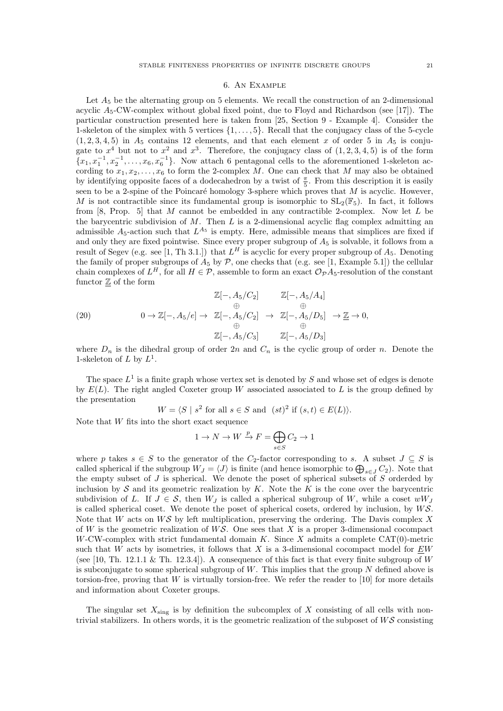#### 6. An Example

Let  $A_5$  be the alternating group on 5 elements. We recall the construction of an 2-dimensional acyclic  $A_5$ -CW-complex without global fixed point, due to Floyd and Richardson (see [17]). The particular construction presented here is taken from [25, Section 9 - Example 4]. Consider the 1-skeleton of the simplex with 5 vertices  $\{1, \ldots, 5\}$ . Recall that the conjugacy class of the 5-cycle  $(1, 2, 3, 4, 5)$  in  $A_5$  contains 12 elements, and that each element x of order 5 in  $A_5$  is conjugate to  $x^4$  but not to  $x^2$  and  $x^3$ . Therefore, the conjugacy class of  $(1, 2, 3, 4, 5)$  is of the form  ${x_1, x_1^{-1}, x_2^{-1}, \ldots, x_6, x_6^{-1}}$ . Now attach 6 pentagonal cells to the aforementioned 1-skeleton according to  $x_1, x_2, \ldots, x_6$  to form the 2-complex M. One can check that M may also be obtained by identifying opposite faces of a dodecahedron by a twist of  $\frac{\pi}{5}$ . From this description it is easily seen to be a 2-spine of the Poincaré homology 3-sphere which proves that  $M$  is acyclic. However, M is not contractible since its fundamental group is isomorphic to  $SL_2(\mathbb{F}_5)$ . In fact, it follows from  $[8, Prop. 5]$  that M cannot be embedded in any contractible 2-complex. Now let L be the barycentric subdivision of  $M$ . Then  $L$  is a 2-dimensional acyclic flag complex admitting an admissible  $A_5$ -action such that  $L^{A_5}$  is empty. Here, admissible means that simplices are fixed if and only they are fixed pointwise. Since every proper subgroup of  $A_5$  is solvable, it follows from a result of Segev (e.g. see [1, Th 3.1.]) that  $L^H$  is acyclic for every proper subgroup of  $A_5$ . Denoting the family of proper subgroups of  $A_5$  by  $P$ , one checks that (e.g. see [1, Example 5.1]) the cellular chain complexes of  $L^H$ , for all  $H \in \mathcal{P}$ , assemble to form an exact  $\mathcal{O}_{\mathcal{P}}A_5$ -resolution of the constant functor  $\mathbb Z$  of the form

(20) 
$$
\mathbb{Z}[-, A_5/C_2] \qquad \mathbb{Z}[-, A_5/A_4] \n\oplus \qquad \oplus \n0 \to \mathbb{Z}[-, A_5/e] \to \mathbb{Z}[-, A_5/C_2] \to \mathbb{Z}[-, A_5/D_5] \to \mathbb{Z} \to 0, \oplus \qquad \oplus \n\mathbb{Z}[-, A_5/C_3] \qquad \mathbb{Z}[-, A_5/D_3]
$$

where  $D_n$  is the dihedral group of order 2n and  $C_n$  is the cyclic group of order n. Denote the 1-skeleton of  $L$  by  $L^1$ .

The space  $L^1$  is a finite graph whose vertex set is denoted by S and whose set of edges is denote by  $E(L)$ . The right angled Coxeter group W associated associated to L is the group defined by the presentation

$$
W = \langle S \mid s^2 \text{ for all } s \in S \text{ and } (st)^2 \text{ if } (s, t) \in E(L) \rangle.
$$

Note that  $W$  fits into the short exact sequence

$$
1 \to N \to W \xrightarrow{p} F = \bigoplus_{s \in S} C_2 \to 1
$$

where p takes  $s \in S$  to the generator of the C<sub>2</sub>-factor corresponding to s. A subset  $J \subseteq S$  is called spherical if the subgroup  $W_J = \langle J \rangle$  is finite (and hence isomorphic to  $\bigoplus_{s \in J} C_2$ ). Note that the empty subset of  $J$  is spherical. We denote the poset of spherical subsets of  $S$  orderded by inclusion by  $\mathcal S$  and its geometric realization by  $K$ . Note the  $K$  is the cone over the barycentric subdivision of L. If  $J \in \mathcal{S}$ , then  $W_J$  is called a spherical subgroup of W, while a coset  $wW_J$ is called spherical coset. We denote the poset of spherical cosets, ordered by inclusion, by WS. Note that W acts on  $WS$  by left multiplication, preserving the ordering. The Davis complex X of  $W$  is the geometric realization of  $W\mathcal{S}$ . One sees that  $X$  is a proper 3-dimensional cocompact W-CW-complex with strict fundamental domain K. Since X admits a complete  $CAT(0)$ -metric such that  $W$  acts by isometries, it follows that  $X$  is a 3-dimensional cocompact model for  $EW$ (see [10, Th. 12.1.1 & Th. 12.3.4]). A consequence of this fact is that every finite subgroup of W is subconjugate to some spherical subgroup of  $W$ . This implies that the group  $N$  defined above is torsion-free, proving that  $W$  is virtually torsion-free. We refer the reader to [10] for more details and information about Coxeter groups.

The singular set  $X_{\text{sing}}$  is by definition the subcomplex of X consisting of all cells with nontrivial stabilizers. In others words, it is the geometric realization of the subposet of  $W\mathcal{S}$  consisting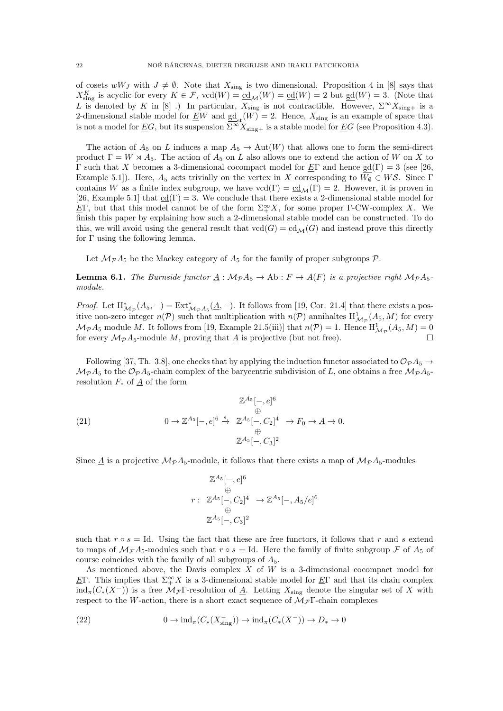of cosets wW<sub>J</sub> with  $J \neq \emptyset$ . Note that  $X_{\text{sing}}$  is two dimensional. Proposition 4 in [8] says that  $X_{\text{sing}}^K$  is acyclic for every  $K \in \mathcal{F}$ ,  $\text{vcd}(W) = \underline{\text{cd}}(W) = \underline{\text{cd}}(W) = 2$  but  $\underline{\text{gd}}(W) = 3$ . (Note that L is denoted by K in [8] .) In particular,  $X_{sing}$  is not contractible. However,  $\Sigma^\infty X_{sing+}$  is a 2-dimensional stable model for <u>EW</u> and  $\underline{sd}_{st}(W) = 2$ . Hence,  $X_{sing}$  is an example of space that is not a model for  $\underline{E}G$ , but its suspension  $\overline{\Sigma}^{\infty}X_{sing+}$  is a stable model for  $\underline{E}G$  (see Proposition 4.3).

The action of  $A_5$  on L induces a map  $A_5 \to \text{Aut}(W)$  that allows one to form the semi-direct product  $\Gamma = W \rtimes A_5$ . The action of  $A_5$  on L also allows one to extend the action of W on X to Γ such that X becomes a 3-dimensional cocompact model for  $E\Gamma$  and hence gd(Γ) = 3 (see [26, Example 5.1]). Here,  $A_5$  acts trivially on the vertex in X corresponding to  $W_{\emptyset} \in W\mathcal{S}$ . Since  $\Gamma$ contains W as a finite index subgroup, we have  $\text{vcd}(\Gamma) = \underline{cd}_{\mathcal{M}}(\Gamma) = 2$ . However, it is proven in [26, Example 5.1] that  $\underline{cd}(\Gamma) = 3$ . We conclude that there exists a 2-dimensional stable model for <u>E</u>Γ, but that this model cannot be of the form  $\Sigma^{\infty}_+ X$ , for some proper Γ-CW-complex X. We finish this paper by explaining how such a 2-dimensional stable model can be constructed. To do this, we will avoid using the general result that  $\text{vcd}(G) = \text{cd}_{\mathcal{M}}(G)$  and instead prove this directly for Γ using the following lemma.

Let  $\mathcal{M}_{\mathcal{P}} A_5$  be the Mackey category of  $A_5$  for the family of proper subgroups  $\mathcal{P}$ .

**Lemma 6.1.** The Burnside functor  $A : \mathcal{M}_P A_5 \to Ab : F \mapsto A(F)$  is a projective right  $\mathcal{M}_P A_5$ module.

*Proof.* Let  $H^*_{\mathcal{M}_{\mathcal{P}}}(A_5, -) = \text{Ext}^*_{\mathcal{M}_{\mathcal{P}}A_5}(\underline{A}, -)$ . It follows from [19, Cor. 21.4] that there exists a positive non-zero integer  $n(\mathcal{P})$  such that multiplication with  $n(\mathcal{P})$  annihaltes  $H^1_{\mathcal{M}_{\mathcal{P}}}(A_5, M)$  for every  $\mathcal{M}_{\mathcal{P}}A_5$  module M. It follows from [19, Example 21.5(iii)] that  $n(\mathcal{P}) = 1$ . Hence  $H^1_{\mathcal{M}_{\mathcal{P}}}(A_5, M) = 0$ for every  $\mathcal{M}_{\mathcal{P}} A_5$ -module M, proving that A is projective (but not free).

Following [37, Th. 3.8], one checks that by applying the induction functor associated to  $\mathcal{O}_{\mathcal{P}}A_5 \rightarrow$  $\mathcal{M}_{\mathcal{P}}A_5$  to the  $\mathcal{O}_{\mathcal{P}}A_5$ -chain complex of the barycentric subdivision of L, one obtains a free  $\mathcal{M}_{\mathcal{P}}A_5$ resolution  $F_*$  of  $\underline{A}$  of the form

$$
\mathbb{Z}^{A_5}[-,e]^6
$$
\n
$$
(21)
$$
\n
$$
0 \to \mathbb{Z}^{A_5}[-,e]^6 \stackrel{\oplus}{\to} \mathbb{Z}^{A_5}[-,C_2]^4 \to F_0 \to \underline{A} \to 0.
$$
\n
$$
\mathbb{Z}^{A_5}[-,C_3]^2
$$

Since  $\underline{A}$  is a projective  $M_{\mathcal{P}} A_5$ -module, it follows that there exists a map of  $M_{\mathcal{P}} A_5$ -modules

$$
\mathbb{Z}^{A_5}[-,e]^6
$$
  
\n
$$
\oplus
$$
  
\n
$$
r: \mathbb{Z}^{A_5}[-,C_2]^4 \rightarrow \mathbb{Z}^{A_5}[-,A_5/e]^6
$$
  
\n
$$
\mathbb{Z}^{A_5}[-,C_3]^2
$$

such that  $r \circ s = Id$ . Using the fact that these are free functors, it follows that r and s extend to maps of  $\mathcal{M}_{\mathcal{F}} A_5$ -modules such that  $r \circ s = \text{Id}$ . Here the family of finite subgroup  $\mathcal{F}$  of  $A_5$  of course coincides with the family of all subgroups of  $A_5$ .

As mentioned above, the Davis complex  $X$  of  $W$  is a 3-dimensional cocompact model for EΓ. This implies that  $\Sigma^{\infty}_+ X$  is a 3-dimensional stable model for EΓ and that its chain complex  $ind_{\pi}(C_{*}(X^{-}))$  is a free  $\mathcal{M}_{\mathcal{F}}\Gamma$ -resolution of  $\underline{A}$ . Letting  $X_{sing}$  denote the singular set of X with respect to the W-action, there is a short exact sequence of  $\mathcal{M}_{\mathcal{F}}\Gamma$ -chain complexes

(22) 
$$
0 \to \mathrm{ind}_{\pi}(C_*(X_{\mathrm{sing}}^-)) \to \mathrm{ind}_{\pi}(C_*(X^-)) \to D_* \to 0
$$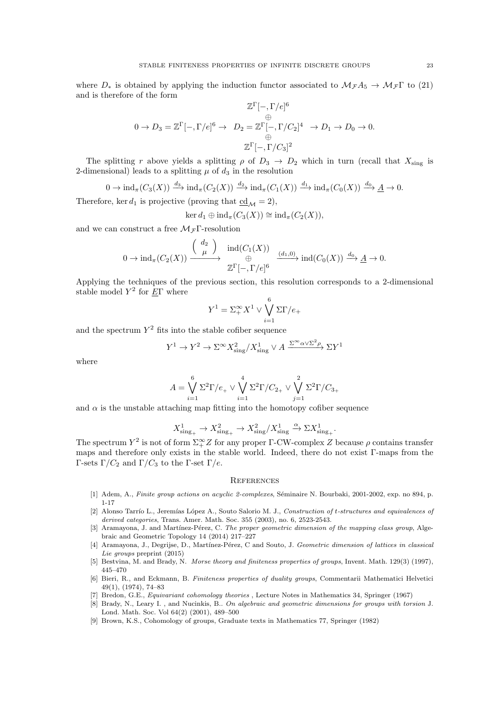where  $D_*$  is obtained by applying the induction functor associated to  $\mathcal{M}_{\mathcal{F}}A_5 \to \mathcal{M}_{\mathcal{F}}\Gamma$  to (21) and is therefore of the form

$$
\mathbb{Z}^{\Gamma}[-, \Gamma/e]^6
$$
  
\n
$$
0 \to D_3 = \mathbb{Z}^{\Gamma}[-, \Gamma/e]^6 \to D_2 = \mathbb{Z}^{\Gamma}[-, \Gamma/C_2]^4 \to D_1 \to D_0 \to 0.
$$
  
\n
$$
\mathbb{Z}^{\Gamma}[-, \Gamma/C_3]^2
$$

The splitting r above yields a splitting  $\rho$  of  $D_3 \rightarrow D_2$  which in turn (recall that  $X_{\text{sing}}$  is 2-dimensional) leads to a splitting  $\mu$  of  $d_3$  in the resolution

 $0 \to \mathrm{ind}_{\pi}(C_3(X)) \xrightarrow{d_3} \mathrm{ind}_{\pi}(C_2(X)) \xrightarrow{d_2} \mathrm{ind}_{\pi}(C_1(X)) \xrightarrow{d_1} \mathrm{ind}_{\pi}(C_0(X)) \xrightarrow{d_0} A \to 0.$ 

Therefore, ker  $d_1$  is projective (proving that  $\text{cd}_M = 2$ ),

$$
\ker d_1 \oplus \mathrm{ind}_{\pi}(C_3(X)) \cong \mathrm{ind}_{\pi}(C_2(X)),
$$

and we can construct a free  $\mathcal{M}_{\mathcal{F}}\Gamma$ -resolution

$$
0 \to \mathrm{ind}_{\pi}(C_2(X)) \xrightarrow{\left(\begin{array}{c}d_2\\ \mu\end{array}\right)} \mathrm{ind}(C_1(X)) \xrightarrow{\left(\begin{array}{c}d_1,0\end{array}\right)} \mathrm{ind}(C_0(X)) \xrightarrow{d_0} \underline{A} \to 0.
$$

Applying the techniques of the previous section, this resolution corresponds to a 2-dimensional stable model  $Y^2$  for  $E\Gamma$  where

$$
Y^1 = \sum_{+}^{\infty} X^1 \vee \bigvee_{i=1}^{6} \Sigma \Gamma / e_+
$$

and the spectrum  $Y^2$  fits into the stable cofiber sequence

$$
Y^1 \to Y^2 \to \Sigma^\infty X_{\text{sing}}^2 / X_{\text{sing}}^1 \vee A \xrightarrow{\Sigma^\infty \alpha \vee \Sigma^2 \rho} \Sigma Y^1
$$

where

$$
A = \bigvee_{i=1}^{6} \Sigma^{2} \Gamma / e_{+} \vee \bigvee_{i=1}^{4} \Sigma^{2} \Gamma / C_{2_{+}} \vee \bigvee_{j=1}^{2} \Sigma^{2} \Gamma / C_{3_{+}}
$$

and  $\alpha$  is the unstable attaching map fitting into the homotopy cofiber sequence

$$
X_{\text{sing}_{+}}^{1} \to X_{\text{sing}_{+}}^{2} \to X_{\text{sing}}^{2}/X_{\text{sing}}^{1} \xrightarrow{\alpha} \Sigma X_{\text{sing}_{+}}^{1}.
$$

The spectrum  $Y^2$  is not of form  $\Sigma_+^{\infty}Z$  for any proper  $\Gamma$ -CW-complex Z because  $\rho$  contains transfer maps and therefore only exists in the stable world. Indeed, there do not exist Γ-maps from the Γ-sets Γ/ $C_2$  and Γ/ $C_3$  to the Γ-set Γ/e.

#### **REFERENCES**

- [1] Adem, A., Finite group actions on acyclic 2-complexes, Séminaire N. Bourbaki, 2001-2002, exp. no 894, p. 1-17
- [2] Alonso Tarrío L., Jeremías López A., Souto Salorio M. J., Construction of t-structures and equivalences of derived categories, Trans. Amer. Math. Soc. 355 (2003), no. 6, 2523-2543.
- [3] Aramayona, J. and Martínez-Pérez, C. The proper geometric dimension of the mapping class group, Algebraic and Geometric Topology 14 (2014) 217–227
- [4] Aramayona, J., Degrijse, D., Martínez-Pérez, C and Souto, J. Geometric dimension of lattices in classical Lie groups preprint (2015)
- [5] Bestvina, M. and Brady, N. Morse theory and finiteness properties of groups, Invent. Math. 129(3) (1997), 445–470
- [6] Bieri, R., and Eckmann, B. Finiteness properties of duality groups, Commentarii Mathematici Helvetici 49(1), (1974), 74–83
- [7] Bredon, G.E., Equivariant cohomology theories , Lecture Notes in Mathematics 34, Springer (1967)
- [8] Brady, N., Leary I. , and Nucinkis, B.. On algebraic and geometric dimensions for groups with torsion J. Lond. Math. Soc. Vol 64(2) (2001), 489–500
- [9] Brown, K.S., Cohomology of groups, Graduate texts in Mathematics 77, Springer (1982)